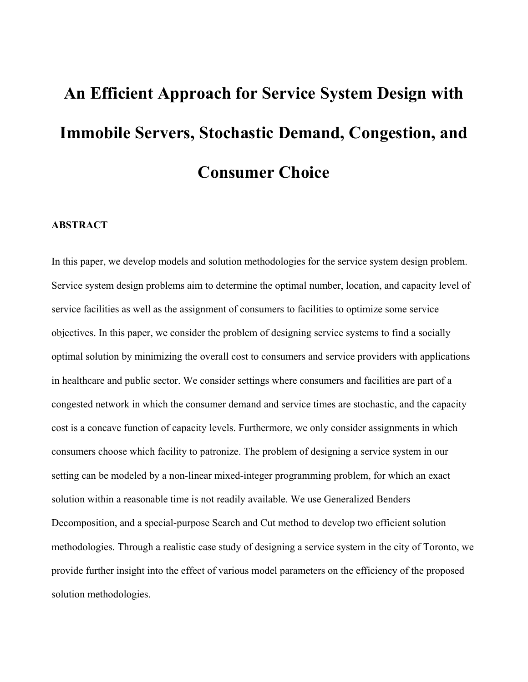# **An Efficient Approach for Service System Design with Immobile Servers, Stochastic Demand, Congestion, and Consumer Choice**

#### **ABSTRACT**

In this paper, we develop models and solution methodologies for the service system design problem. Service system design problems aim to determine the optimal number, location, and capacity level of service facilities as well as the assignment of consumers to facilities to optimize some service objectives. In this paper, we consider the problem of designing service systems to find a socially optimal solution by minimizing the overall cost to consumers and service providers with applications in healthcare and public sector. We consider settings where consumers and facilities are part of a congested network in which the consumer demand and service times are stochastic, and the capacity cost is a concave function of capacity levels. Furthermore, we only consider assignments in which consumers choose which facility to patronize. The problem of designing a service system in our setting can be modeled by a non-linear mixed-integer programming problem, for which an exact solution within a reasonable time is not readily available. We use Generalized Benders Decomposition, and a special-purpose Search and Cut method to develop two efficient solution methodologies. Through a realistic case study of designing a service system in the city of Toronto, we provide further insight into the effect of various model parameters on the efficiency of the proposed solution methodologies.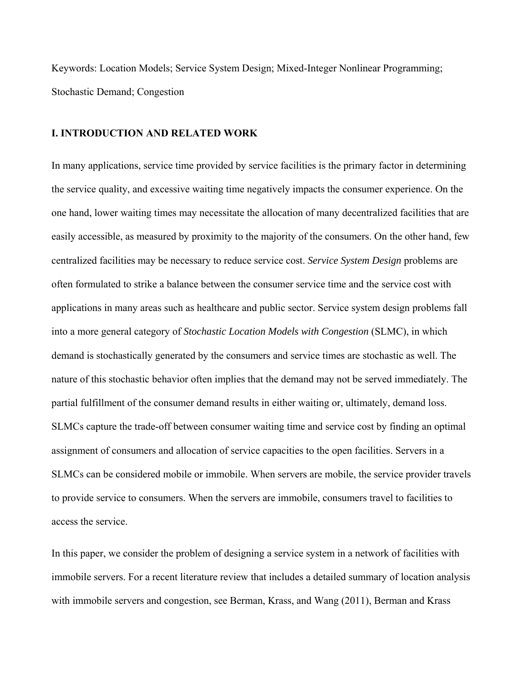Keywords: Location Models; Service System Design; Mixed-Integer Nonlinear Programming; Stochastic Demand; Congestion

# **I. INTRODUCTION AND RELATED WORK**

In many applications, service time provided by service facilities is the primary factor in determining the service quality, and excessive waiting time negatively impacts the consumer experience. On the one hand, lower waiting times may necessitate the allocation of many decentralized facilities that are easily accessible, as measured by proximity to the majority of the consumers. On the other hand, few centralized facilities may be necessary to reduce service cost. *Service System Design* problems are often formulated to strike a balance between the consumer service time and the service cost with applications in many areas such as healthcare and public sector. Service system design problems fall into a more general category of *Stochastic Location Models with Congestion* (SLMC), in which demand is stochastically generated by the consumers and service times are stochastic as well. The nature of this stochastic behavior often implies that the demand may not be served immediately. The partial fulfillment of the consumer demand results in either waiting or, ultimately, demand loss. SLMCs capture the trade-off between consumer waiting time and service cost by finding an optimal assignment of consumers and allocation of service capacities to the open facilities. Servers in a SLMCs can be considered mobile or immobile. When servers are mobile, the service provider travels to provide service to consumers. When the servers are immobile, consumers travel to facilities to access the service.

In this paper, we consider the problem of designing a service system in a network of facilities with immobile servers. For a recent literature review that includes a detailed summary of location analysis with immobile servers and congestion, see Berman, Krass, and Wang (2011), Berman and Krass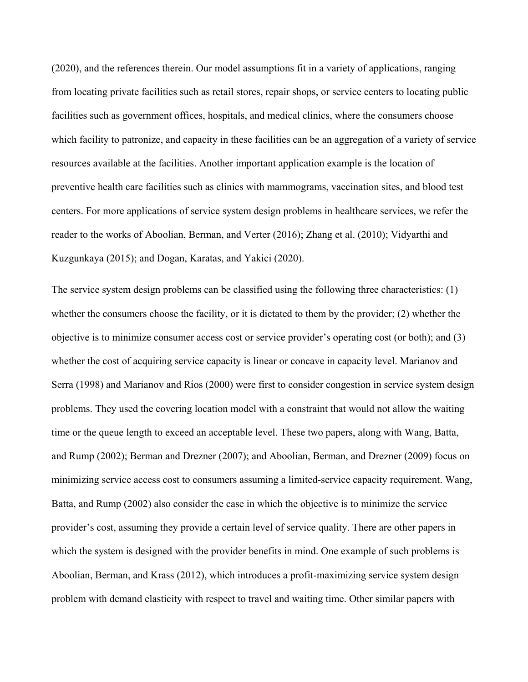(2020), and the references therein. Our model assumptions fit in a variety of applications, ranging from locating private facilities such as retail stores, repair shops, or service centers to locating public facilities such as government offices, hospitals, and medical clinics, where the consumers choose which facility to patronize, and capacity in these facilities can be an aggregation of a variety of service resources available at the facilities. Another important application example is the location of preventive health care facilities such as clinics with mammograms, vaccination sites, and blood test centers. For more applications of service system design problems in healthcare services, we refer the reader to the works of Aboolian, Berman, and Verter (2016); Zhang et al. (2010); Vidyarthi and Kuzgunkaya (2015); and Dogan, Karatas, and Yakici (2020).

The service system design problems can be classified using the following three characteristics: (1) whether the consumers choose the facility, or it is dictated to them by the provider; (2) whether the objective is to minimize consumer access cost or service provider's operating cost (or both); and (3) whether the cost of acquiring service capacity is linear or concave in capacity level. Marianov and Serra (1998) and Marianov and Ríos (2000) were first to consider congestion in service system design problems. They used the covering location model with a constraint that would not allow the waiting time or the queue length to exceed an acceptable level. These two papers, along with Wang, Batta, and Rump (2002); Berman and Drezner (2007); and Aboolian, Berman, and Drezner (2009) focus on minimizing service access cost to consumers assuming a limited-service capacity requirement. Wang, Batta, and Rump (2002) also consider the case in which the objective is to minimize the service provider's cost, assuming they provide a certain level of service quality. There are other papers in which the system is designed with the provider benefits in mind. One example of such problems is Aboolian, Berman, and Krass (2012), which introduces a profit-maximizing service system design problem with demand elasticity with respect to travel and waiting time. Other similar papers with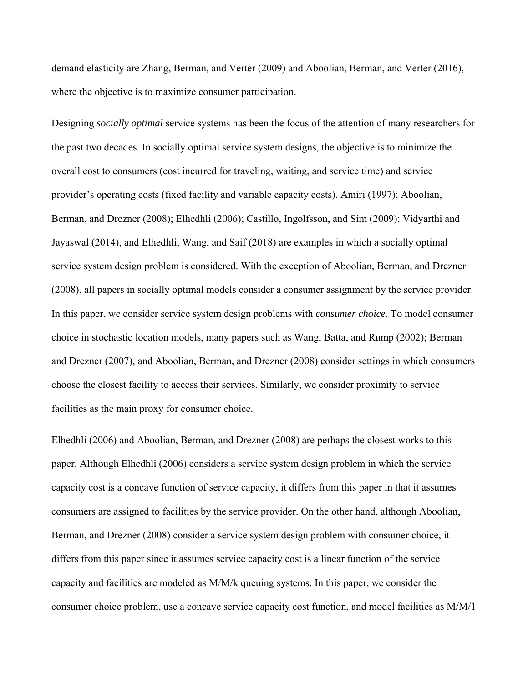demand elasticity are Zhang, Berman, and Verter (2009) and Aboolian, Berman, and Verter (2016), where the objective is to maximize consumer participation.

Designing *socially optimal* service systems has been the focus of the attention of many researchers for the past two decades. In socially optimal service system designs, the objective is to minimize the overall cost to consumers (cost incurred for traveling, waiting, and service time) and service provider's operating costs (fixed facility and variable capacity costs). Amiri (1997); Aboolian, Berman, and Drezner (2008); Elhedhli (2006); Castillo, Ingolfsson, and Sim (2009); Vidyarthi and Jayaswal (2014), and Elhedhli, Wang, and Saif (2018) are examples in which a socially optimal service system design problem is considered. With the exception of Aboolian, Berman, and Drezner (2008), all papers in socially optimal models consider a consumer assignment by the service provider. In this paper, we consider service system design problems with *consumer choice*. To model consumer choice in stochastic location models, many papers such as Wang, Batta, and Rump (2002); Berman and Drezner (2007), and Aboolian, Berman, and Drezner (2008) consider settings in which consumers choose the closest facility to access their services. Similarly, we consider proximity to service facilities as the main proxy for consumer choice.

Elhedhli (2006) and Aboolian, Berman, and Drezner (2008) are perhaps the closest works to this paper. Although Elhedhli (2006) considers a service system design problem in which the service capacity cost is a concave function of service capacity, it differs from this paper in that it assumes consumers are assigned to facilities by the service provider. On the other hand, although Aboolian, Berman, and Drezner (2008) consider a service system design problem with consumer choice, it differs from this paper since it assumes service capacity cost is a linear function of the service capacity and facilities are modeled as M/M/k queuing systems. In this paper, we consider the consumer choice problem, use a concave service capacity cost function, and model facilities as M/M/1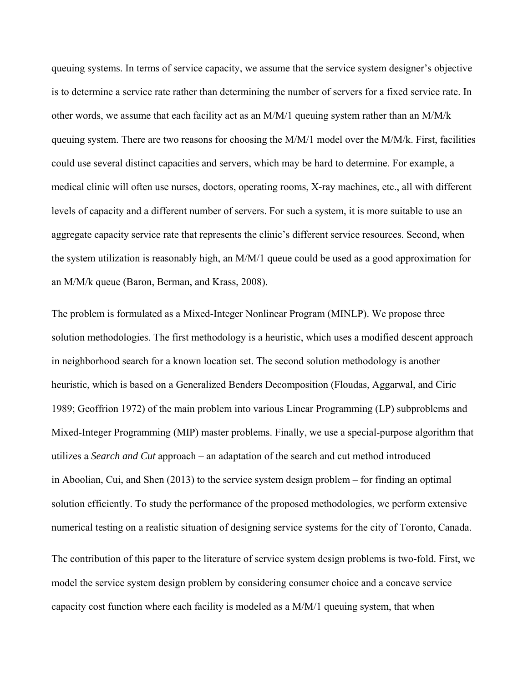queuing systems. In terms of service capacity, we assume that the service system designer's objective is to determine a service rate rather than determining the number of servers for a fixed service rate. In other words, we assume that each facility act as an M/M/1 queuing system rather than an M/M/k queuing system. There are two reasons for choosing the M/M/1 model over the M/M/k. First, facilities could use several distinct capacities and servers, which may be hard to determine. For example, a medical clinic will often use nurses, doctors, operating rooms, X-ray machines, etc., all with different levels of capacity and a different number of servers. For such a system, it is more suitable to use an aggregate capacity service rate that represents the clinic's different service resources. Second, when the system utilization is reasonably high, an M/M/1 queue could be used as a good approximation for an M/M/k queue (Baron, Berman, and Krass, 2008).

The problem is formulated as a Mixed-Integer Nonlinear Program (MINLP). We propose three solution methodologies. The first methodology is a heuristic, which uses a modified descent approach in neighborhood search for a known location set. The second solution methodology is another heuristic, which is based on a Generalized Benders Decomposition (Floudas, Aggarwal, and Ciric 1989; Geoffrion 1972) of the main problem into various Linear Programming (LP) subproblems and Mixed-Integer Programming (MIP) master problems. Finally, we use a special-purpose algorithm that utilizes a *Search and Cut* approach – an adaptation of the search and cut method introduced in Aboolian, Cui, and Shen (2013) to the service system design problem – for finding an optimal solution efficiently. To study the performance of the proposed methodologies, we perform extensive numerical testing on a realistic situation of designing service systems for the city of Toronto, Canada.

The contribution of this paper to the literature of service system design problems is two-fold. First, we model the service system design problem by considering consumer choice and a concave service capacity cost function where each facility is modeled as a M/M/1 queuing system, that when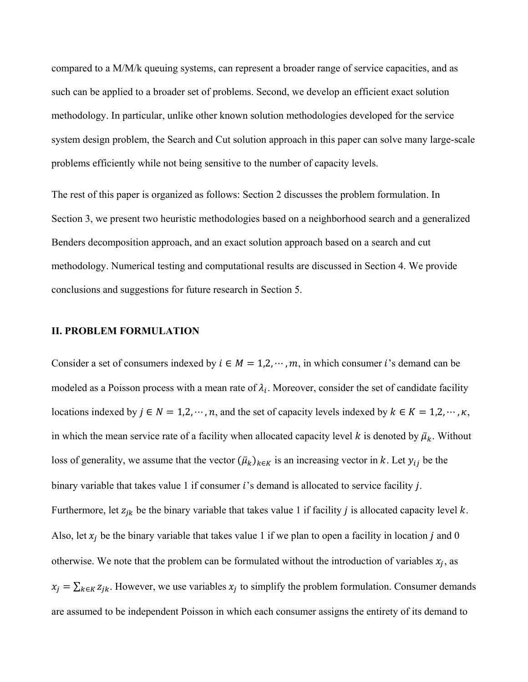compared to a M/M/k queuing systems, can represent a broader range of service capacities, and as such can be applied to a broader set of problems. Second, we develop an efficient exact solution methodology. In particular, unlike other known solution methodologies developed for the service system design problem, the Search and Cut solution approach in this paper can solve many large-scale problems efficiently while not being sensitive to the number of capacity levels.

The rest of this paper is organized as follows: Section 2 discusses the problem formulation. In Section 3, we present two heuristic methodologies based on a neighborhood search and a generalized Benders decomposition approach, and an exact solution approach based on a search and cut methodology. Numerical testing and computational results are discussed in Section 4. We provide conclusions and suggestions for future research in Section 5.

#### **II. PROBLEM FORMULATION**

Consider a set of consumers indexed by  $i \in M = 1, 2, \dots, m$ , in which consumer *i*'s demand can be modeled as a Poisson process with a mean rate of  $\lambda_i$ . Moreover, consider the set of candidate facility locations indexed by  $j \in N = 1,2,\dots, n$ , and the set of capacity levels indexed by  $k \in K = 1,2,\dots, \kappa$ , in which the mean service rate of a facility when allocated capacity level k is denoted by  $\bar{\mu}_k$ . Without loss of generality, we assume that the vector  $(\bar{\mu}_k)_{k \in K}$  is an increasing vector in k. Let  $y_{ij}$  be the binary variable that takes value 1 if consumer  $i$ 's demand is allocated to service facility  $j$ . Furthermore, let  $z_{jk}$  be the binary variable that takes value 1 if facility *j* is allocated capacity level *k*. Also, let  $x_j$  be the binary variable that takes value 1 if we plan to open a facility in location j and 0 otherwise. We note that the problem can be formulated without the introduction of variables  $x_i$ , as  $x_j = \sum_{k \in K} z_{jk}$ . However, we use variables  $x_j$  to simplify the problem formulation. Consumer demands are assumed to be independent Poisson in which each consumer assigns the entirety of its demand to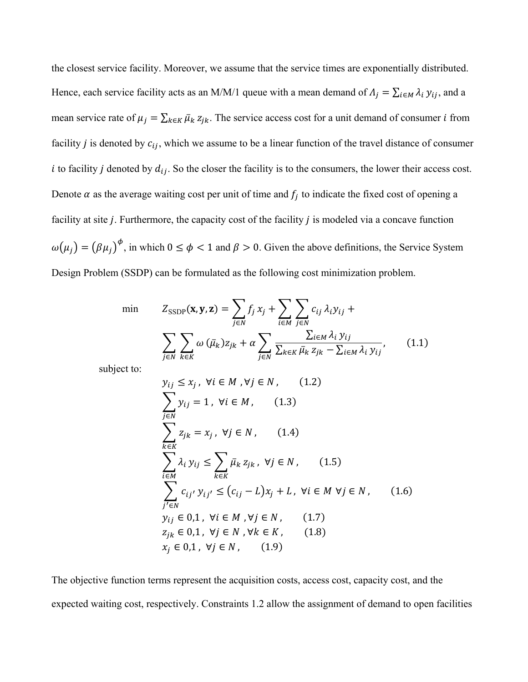the closest service facility. Moreover, we assume that the service times are exponentially distributed. Hence, each service facility acts as an M/M/1 queue with a mean demand of  $\Lambda_j = \sum_{i \in M} \lambda_i y_{ij}$ , and a mean service rate of  $\mu_j = \sum_{k \in K} \bar{\mu}_k z_{jk}$ . The service access cost for a unit demand of consumer *i* from facility  $j$  is denoted by  $c_{ij}$ , which we assume to be a linear function of the travel distance of consumer i to facility j denoted by  $d_{ij}$ . So the closer the facility is to the consumers, the lower their access cost. Denote  $\alpha$  as the average waiting cost per unit of time and  $f_i$  to indicate the fixed cost of opening a facility at site  $j$ . Furthermore, the capacity cost of the facility  $j$  is modeled via a concave function  $\omega(\mu_j) = (\beta \mu_j)^{\phi}$ , in which  $0 \le \phi < 1$  and  $\beta > 0$ . Given the above definitions, the Service System Design Problem (SSDP) can be formulated as the following cost minimization problem.

$$
\min \qquad Z_{\text{SSDP}}(\mathbf{x}, \mathbf{y}, \mathbf{z}) = \sum_{j \in N} f_j x_j + \sum_{i \in M} \sum_{j \in N} c_{ij} \lambda_i y_{ij} + \sum_{j \in N} \sum_{k \in K} \sum_{\bar{\mu}_k} \sum_{j \in N} \frac{\sum_{i \in M} \lambda_i y_{ij}}{\sum_{k \in K} \bar{\mu}_k z_{jk} - \sum_{i \in M} \lambda_i y_{ij}}, \qquad (1.1)
$$

subject to:

$$
y_{ij} \le x_j, \forall i \in M, \forall j \in N, \qquad (1.2)
$$
  
\n
$$
\sum_{j \in N} y_{ij} = 1, \forall i \in M, \qquad (1.3)
$$
  
\n
$$
\sum_{k \in K} z_{jk} = x_j, \forall j \in N, \qquad (1.4)
$$
  
\n
$$
\sum_{i \in M} \lambda_i y_{ij} \le \sum_{k \in K} \bar{\mu}_k z_{jk}, \forall j \in N, \qquad (1.5)
$$
  
\n
$$
\sum_{j' \in N} c_{ij'} y_{ij'} \le (c_{ij} - L)x_j + L, \forall i \in M \forall j \in N, \qquad (1.6)
$$
  
\n
$$
y_{ij} \in 0, 1, \forall i \in M, \forall j \in N, \qquad (1.7)
$$
  
\n
$$
z_{jk} \in 0, 1, \forall j \in N, \forall k \in K, \qquad (1.8)
$$
  
\n
$$
x_j \in 0, 1, \forall j \in N, \qquad (1.9)
$$

The objective function terms represent the acquisition costs, access cost, capacity cost, and the expected waiting cost, respectively. Constraints 1.2 allow the assignment of demand to open facilities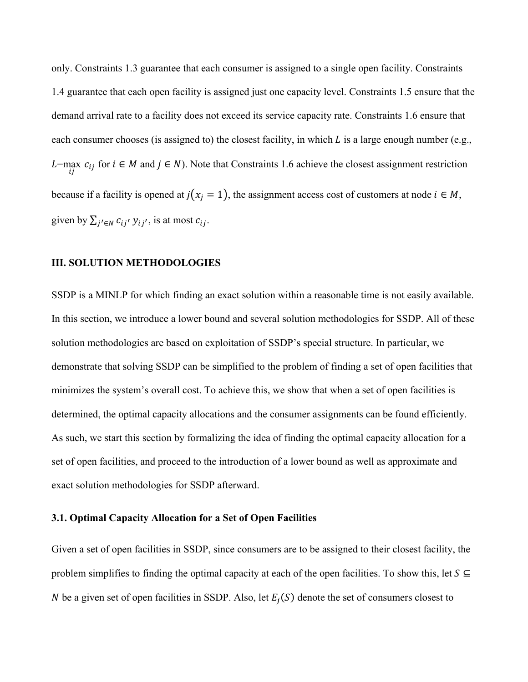only. Constraints 1.3 guarantee that each consumer is assigned to a single open facility. Constraints 1.4 guarantee that each open facility is assigned just one capacity level. Constraints 1.5 ensure that the demand arrival rate to a facility does not exceed its service capacity rate. Constraints 1.6 ensure that each consumer chooses (is assigned to) the closest facility, in which L is a large enough number (e.g., L=max  $c_{ij}$  for  $i \in M$  and  $j \in N$ ). Note that Constraints 1.6 achieve the closest assignment restriction because if a facility is opened at  $j(x_j = 1)$ , the assignment access cost of customers at node  $i \in M$ , given by  $\sum_{j' \in N} c_{ij'} y_{ij'}$ , is at most  $c_{ij}$ .

#### **III. SOLUTION METHODOLOGIES**

SSDP is a MINLP for which finding an exact solution within a reasonable time is not easily available. In this section, we introduce a lower bound and several solution methodologies for SSDP. All of these solution methodologies are based on exploitation of SSDP's special structure. In particular, we demonstrate that solving SSDP can be simplified to the problem of finding a set of open facilities that minimizes the system's overall cost. To achieve this, we show that when a set of open facilities is determined, the optimal capacity allocations and the consumer assignments can be found efficiently. As such, we start this section by formalizing the idea of finding the optimal capacity allocation for a set of open facilities, and proceed to the introduction of a lower bound as well as approximate and exact solution methodologies for SSDP afterward.

#### **3.1. Optimal Capacity Allocation for a Set of Open Facilities**

Given a set of open facilities in SSDP, since consumers are to be assigned to their closest facility, the problem simplifies to finding the optimal capacity at each of the open facilities. To show this, let  $S \subseteq$ N be a given set of open facilities in SSDP. Also, let  $E_i(S)$  denote the set of consumers closest to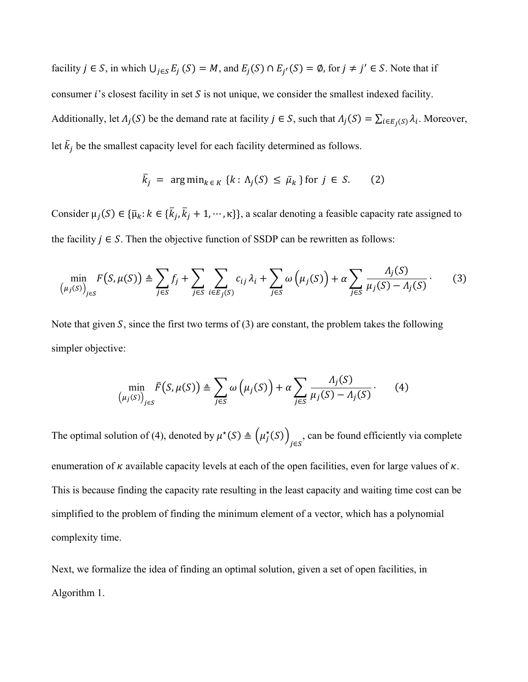facility  $j \in S$ , in which  $\bigcup_{j \in S} E_j(S) = M$ , and  $E_j(S) \cap E_{j'}(S) = \emptyset$ , for  $j \neq j' \in S$ . Note that if consumer  $i$ 's closest facility in set  $S$  is not unique, we consider the smallest indexed facility. Additionally, let  $\Lambda_j(S)$  be the demand rate at facility  $j \in S$ , such that  $\Lambda_j(S) = \sum_{i \in E_j(S)} \lambda_i$ . Moreover, let  $\bar{k}_j$  be the smallest capacity level for each facility determined as follows.

$$
\bar{k}_j = \arg\min_{k \in K} \{k : \Lambda_j(S) \le \bar{\mu}_k\} \text{ for } j \in S. \tag{2}
$$

Consider  $\mu_j(S) \in \{\bar{\mu}_k : k \in \{\bar{k}_j, \bar{k}_j + 1, \dots, \kappa\}\}\$ , a scalar denoting a feasible capacity rate assigned to the facility  $j \in S$ . Then the objective function of SSDP can be rewritten as follows:

$$
\min_{\left(\mu_j(S)\right)_{j\in S}} F\left(S, \mu(S)\right) \triangleq \sum_{j\in S} f_j + \sum_{j\in S} \sum_{i\in E_j(S)} c_{ij} \lambda_i + \sum_{j\in S} \omega\left(\mu_j(S)\right) + \alpha \sum_{j\in S} \frac{\Lambda_j(S)}{\mu_j(S) - \Lambda_j(S)}.\tag{3}
$$

Note that given  $S$ , since the first two terms of  $(3)$  are constant, the problem takes the following simpler objective:

$$
\min_{(\mu_j(S))_{j\in S}} \bar{F}(S, \mu(S)) \triangleq \sum_{j\in S} \omega\left(\mu_j(S)\right) + \alpha \sum_{j\in S} \frac{\Lambda_j(S)}{\mu_j(S) - \Lambda_j(S)}.
$$
 (4)

The optimal solution of (4), denoted by  $\mu^*(S) \triangleq (\mu_j^*(S))_{j \in S}$ , can be found efficiently via complete enumeration of  $\kappa$  available capacity levels at each of the open facilities, even for large values of  $\kappa$ . This is because finding the capacity rate resulting in the least capacity and waiting time cost can be simplified to the problem of finding the minimum element of a vector, which has a polynomial complexity time.

Next, we formalize the idea of finding an optimal solution, given a set of open facilities, in Algorithm 1.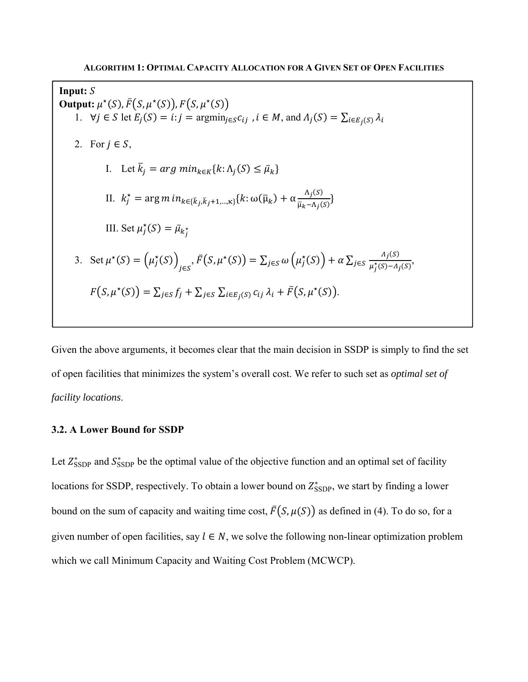Input:  $S$ **Output:**  $\mu^*(S)$ ,  $\bar{F}(S, \mu^*(S))$ ,  $F(S, \mu^*(S))$ 1.  $\forall j \in S \text{ let } E_i(S) = i : j = \operatorname{argmin}_{i \in S} c_{ij}$ ,  $i \in M$ , and  $\Lambda_i(S) = \sum_{i \in E_i(S)} \lambda_i$ 2. For  $j \in S$ , I. Let  $\bar{k}_j = arg \ min_{k \in K} \{k : \Lambda_j(S) \leq \bar{\mu}_k\}$ II.  $k_j^* = \arg m \, in_{k \in {\{\overline{k}_j,\overline{k}_j+1,\dots,\kappa\}}} \{k : \omega(\overline{\mu}_k) + \alpha \frac{\Lambda_j(S)}{\overline{\mu}_k - \Lambda_j(S)}\}$  $\frac{\Lambda f(S)}{\overline{\mu}_k - \Lambda_f(S)}\}$ III. Set  $\mu_j^*(S) = \bar{\mu}_{k_j^*}$ 3. Set  $\mu^*(S) = (\mu_j^*(S))_{j \in S}$ ,  $\bar{F}(S, \mu^*(S)) = \sum_{j \in S} \omega(\mu_j^*(S)) + \alpha \sum_{j \in S} \frac{\Lambda_j(S)}{\mu_j^*(S) - \Lambda_j(S)}$  $F(S, \mu^*(S)) = \sum_{j \in S} f_j + \sum_{j \in S} \sum_{i \in E_j(S)} c_{ij} \lambda_i + \bar{F}(S, \mu^*(S)).$ 

Given the above arguments, it becomes clear that the main decision in SSDP is simply to find the set of open facilities that minimizes the system's overall cost. We refer to such set as *optimal set of facility locations*.

#### **3.2. A Lower Bound for SSDP**

Let  $Z_{\text{SSDP}}^*$  and  $S_{\text{SSDP}}^*$  be the optimal value of the objective function and an optimal set of facility locations for SSDP, respectively. To obtain a lower bound on  $Z^*_{\text{SSDP}}$ , we start by finding a lower bound on the sum of capacity and waiting time cost,  $\bar{F}(S, \mu(S))$  as defined in (4). To do so, for a given number of open facilities, say  $l \in N$ , we solve the following non-linear optimization problem which we call Minimum Capacity and Waiting Cost Problem (MCWCP).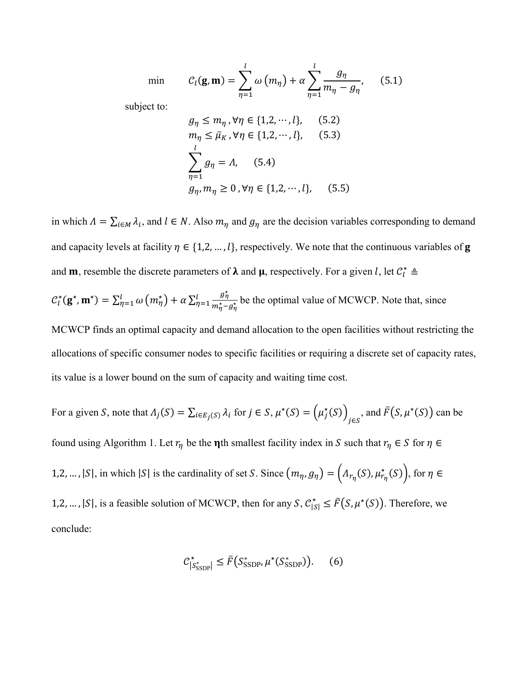min

$$
C_l(\mathbf{g}, \mathbf{m}) = \sum_{\eta=1}^l \omega(m_\eta) + \alpha \sum_{\eta=1}^l \frac{g_\eta}{m_\eta - g_\eta}, \qquad (5.1)
$$

subject to:

$$
g_{\eta} \le m_{\eta}, \forall \eta \in \{1, 2, \cdots, l\}, \quad (5.2)
$$
  
\n
$$
m_{\eta} \le \bar{\mu}_K, \forall \eta \in \{1, 2, \cdots, l\}, \quad (5.3)
$$
  
\n
$$
\sum_{\eta=1}^l g_{\eta} = \Lambda, \quad (5.4)
$$
  
\n
$$
g_{\eta}, m_{\eta} \ge 0, \forall \eta \in \{1, 2, \cdots, l\}, \quad (5.5)
$$

in which  $\Lambda = \sum_{i \in M} \lambda_i$ , and  $l \in N$ . Also  $m_\eta$  and  $g_\eta$  are the decision variables corresponding to demand and capacity levels at facility  $\eta \in \{1,2,\dots,l\}$ , respectively. We note that the continuous variables of **g** and **m**, resemble the discrete parameters of  $\lambda$  and  $\mu$ , respectively. For a given l, let  $C_l^* \triangleq$ 

$$
C_l^{\star}(\mathbf{g}^{\star}, \mathbf{m}^{\star}) = \sum_{\eta=1}^l \omega\left(m_{\eta}^{\star}\right) + \alpha \sum_{\eta=1}^l \frac{g_{\eta}^{\star}}{m_{\eta}^{\star} - g_{\eta}^{\star}} \text{ be the optimal value of MCWCP. Note that, since}
$$

MCWCP finds an optimal capacity and demand allocation to the open facilities without restricting the allocations of specific consumer nodes to specific facilities or requiring a discrete set of capacity rates, its value is a lower bound on the sum of capacity and waiting time cost.

For a given S, note that 
$$
\Lambda_j(S) = \sum_{i \in E_j(S)} \lambda_i
$$
 for  $j \in S$ ,  $\mu^*(S) = (\mu_j^*(S))_{j \in S}$ , and  $\bar{F}(S, \mu^*(S))$  can be

found using Algorithm 1. Let  $r_\eta$  be the **n**th smallest facility index in S such that  $r_\eta \in S$  for  $\eta \in$ 1,2, ..., |S|, in which |S| is the cardinality of set S. Since  $(m_\eta, g_\eta) = (A_{r_\eta}(S), \mu_{r_\eta}^*(S))$ , for  $\eta \in$ 1,2, ..., |S|, is a feasible solution of MCWCP, then for any  $S, C^*_{|S|} \leq \overline{F}(S, \mu^*(S))$ . Therefore, we conclude:

$$
\mathcal{C}_{\left|S_{\text{SSDP}}^*\right|}^{\star} \leq \bar{F}\left(S_{\text{SSDP}}^*, \mu^{\star}(S_{\text{SSDP}}^*)\right). \tag{6}
$$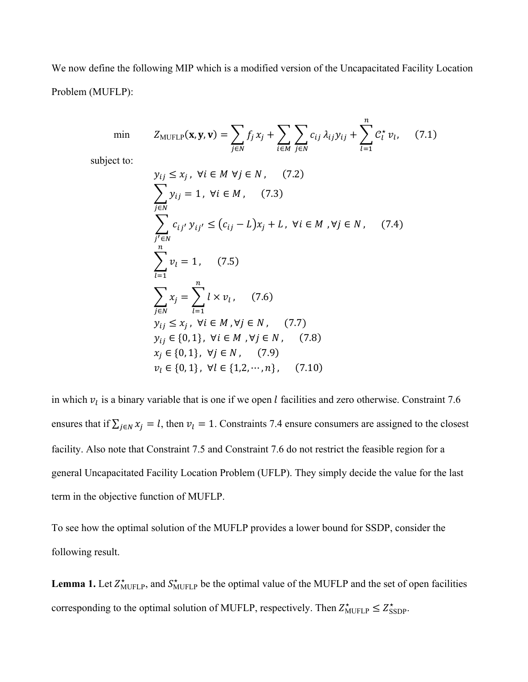We now define the following MIP which is a modified version of the Uncapacitated Facility Location Problem (MUFLP):

min 
$$
Z_{\text{MUFLP}}(\mathbf{x}, \mathbf{y}, \mathbf{v}) = \sum_{j \in N} f_j x_j + \sum_{i \in M} \sum_{j \in N} c_{ij} \lambda_{ij} y_{ij} + \sum_{l=1}^{n} C_l^* v_l,
$$
 (7.1)

subject to:

$$
y_{ij} \le x_j, \forall i \in M \forall j \in N, (7.2)
$$
  
\n
$$
\sum_{j \in N} y_{ij} = 1, \forall i \in M, (7.3)
$$
  
\n
$$
\sum_{j' \in N} c_{ij'} y_{ij'} \le (c_{ij} - L)x_j + L, \forall i \in M, \forall j \in N, (7.4)
$$
  
\n
$$
\sum_{l=1}^{n} v_l = 1, (7.5)
$$
  
\n
$$
\sum_{j \in N} x_j = \sum_{l=1}^{n} l \times v_l, (7.6)
$$
  
\n
$$
y_{ij} \le x_j, \forall i \in M, \forall j \in N, (7.7)
$$
  
\n
$$
y_{ij} \in \{0, 1\}, \forall i \in M, \forall j \in N, (7.8)
$$
  
\n
$$
x_j \in \{0, 1\}, \forall j \in N, (7.9)
$$
  
\n
$$
v_l \in \{0, 1\}, \forall l \in \{1, 2, \dots, n\}, (7.10)
$$

in which  $v_l$  is a binary variable that is one if we open *l* facilities and zero otherwise. Constraint 7.6 ensures that if  $\sum_{j \in N} x_j = l$ , then  $v_l = 1$ . Constraints 7.4 ensure consumers are assigned to the closest facility. Also note that Constraint 7.5 and Constraint 7.6 do not restrict the feasible region for a general Uncapacitated Facility Location Problem (UFLP). They simply decide the value for the last term in the objective function of MUFLP.

To see how the optimal solution of the MUFLP provides a lower bound for SSDP, consider the following result.

**Lemma 1.** Let  $Z_{\text{MUFLP}}^*$ , and  $S_{\text{MUFLP}}^*$  be the optimal value of the MUFLP and the set of open facilities corresponding to the optimal solution of MUFLP, respectively. Then  $Z_{\text{MUFLP}}^{\star} \leq Z_{\text{SSDP}}^{\star}$ .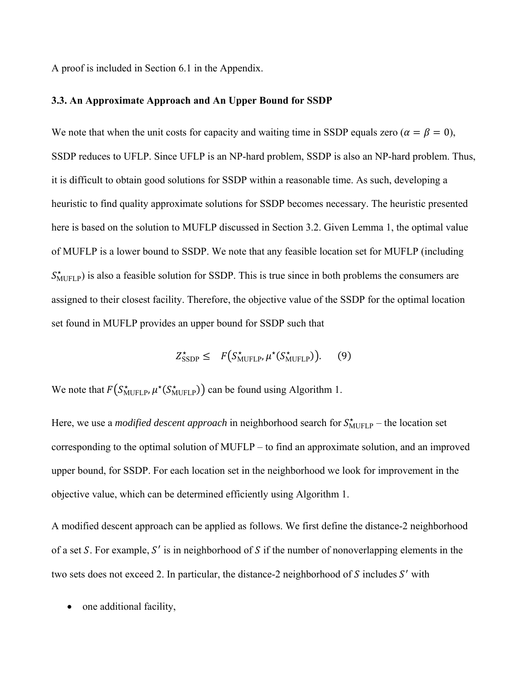A proof is included in Section 6.1 in the Appendix.

#### **3.3. An Approximate Approach and An Upper Bound for SSDP**

We note that when the unit costs for capacity and waiting time in SSDP equals zero ( $\alpha = \beta = 0$ ), SSDP reduces to UFLP. Since UFLP is an NP-hard problem, SSDP is also an NP-hard problem. Thus, it is difficult to obtain good solutions for SSDP within a reasonable time. As such, developing a heuristic to find quality approximate solutions for SSDP becomes necessary. The heuristic presented here is based on the solution to MUFLP discussed in Section 3.2. Given Lemma 1, the optimal value of MUFLP is a lower bound to SSDP. We note that any feasible location set for MUFLP (including  $S_{\text{MUFLP}}^{\star}$ ) is also a feasible solution for SSDP. This is true since in both problems the consumers are assigned to their closest facility. Therefore, the objective value of the SSDP for the optimal location set found in MUFLP provides an upper bound for SSDP such that

$$
Z_{\text{SSDP}}^{\star} \leq F\big(S_{\text{MUFLP}}^{\star}, \mu^{\star}(S_{\text{MUFLP}}^{\star})\big). \qquad (9)
$$

We note that  $F(S^*_{\text{MUFLP}}, \mu^*(S^*_{\text{MUFLP}}))$  can be found using Algorithm 1.

Here, we use a *modified descent approach* in neighborhood search for  $S_{\text{MUFLP}}^{\star}$  – the location set corresponding to the optimal solution of MUFLP – to find an approximate solution, and an improved upper bound, for SSDP. For each location set in the neighborhood we look for improvement in the objective value, which can be determined efficiently using Algorithm 1.

A modified descent approach can be applied as follows. We first define the distance-2 neighborhood of a set S. For example, S' is in neighborhood of S if the number of nonoverlapping elements in the two sets does not exceed 2. In particular, the distance-2 neighborhood of S includes  $S'$  with

one additional facility,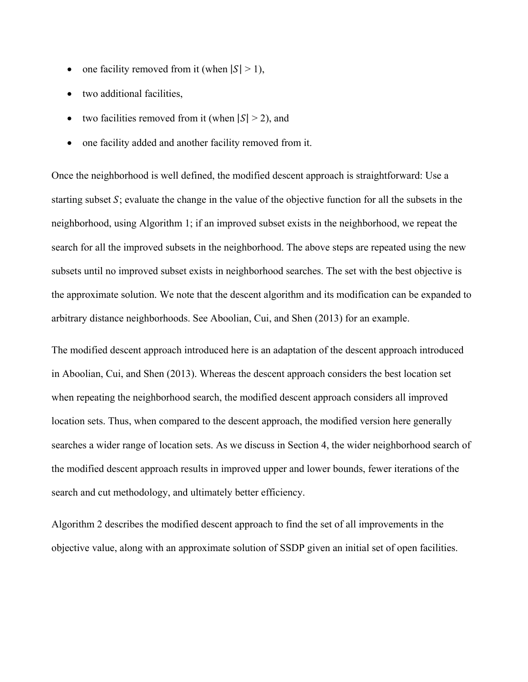- one facility removed from it (when  $|S| > 1$ ),
- two additional facilities,
- two facilities removed from it (when  $|S| > 2$ ), and
- one facility added and another facility removed from it.

Once the neighborhood is well defined, the modified descent approach is straightforward: Use a starting subset  $S$ ; evaluate the change in the value of the objective function for all the subsets in the neighborhood, using Algorithm 1; if an improved subset exists in the neighborhood, we repeat the search for all the improved subsets in the neighborhood. The above steps are repeated using the new subsets until no improved subset exists in neighborhood searches. The set with the best objective is the approximate solution. We note that the descent algorithm and its modification can be expanded to arbitrary distance neighborhoods. See Aboolian, Cui, and Shen (2013) for an example.

The modified descent approach introduced here is an adaptation of the descent approach introduced in Aboolian, Cui, and Shen (2013). Whereas the descent approach considers the best location set when repeating the neighborhood search, the modified descent approach considers all improved location sets. Thus, when compared to the descent approach, the modified version here generally searches a wider range of location sets. As we discuss in Section 4, the wider neighborhood search of the modified descent approach results in improved upper and lower bounds, fewer iterations of the search and cut methodology, and ultimately better efficiency.

Algorithm 2 describes the modified descent approach to find the set of all improvements in the objective value, along with an approximate solution of SSDP given an initial set of open facilities.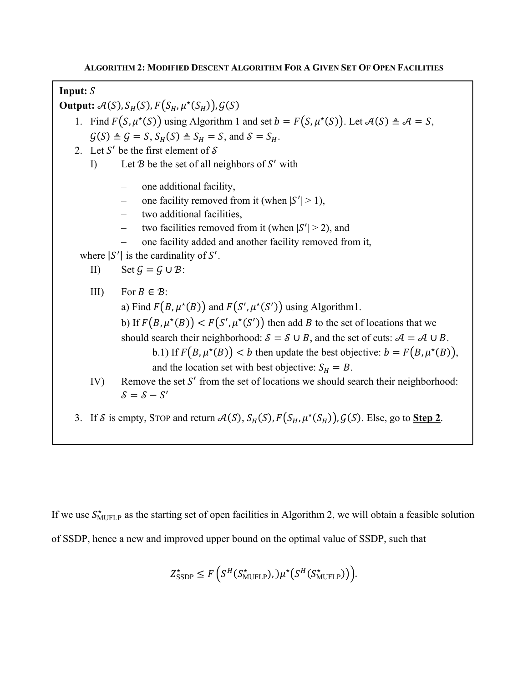# **Input:** ܵ

**Output:**  $\mathcal{A}(S)$ ,  $S_H(S)$ ,  $F(S_H, \mu^*(S_H))$ ,  $G(S)$ 

1. Find  $F(S, \mu^*(S))$  using Algorithm 1 and set  $b = F(S, \mu^*(S))$ . Let  $\mathcal{A}(S) \triangleq \mathcal{A} = S$ ,  $\mathcal{G}(S) \triangleq \mathcal{G} = S$ ,  $S_H(S) \triangleq S_H = S$ , and  $\mathcal{S} = S_H$ .

- 2. Let S' be the first element of  $S$ 
	- I) Let  $B$  be the set of all neighbors of  $S'$  with
		- one additional facility,
		- one facility removed from it (when  $|S'| > 1$ ),
		- two additional facilities,
		- two facilities removed from it (when  $|S'| > 2$ ), and
		- one facility added and another facility removed from it,

where  $|S'|$  is the cardinality of  $S'$ .

$$
\text{II)} \qquad \text{Set } \mathcal{G} = \mathcal{G} \cup \mathcal{B}:
$$

- III) For  $B \in \mathcal{B}$ : a) Find  $F(B, \mu^*(B))$  and  $F(S', \mu^*(S'))$  using Algorithm1. b) If  $F(B, \mu^*(B)) < F(S', \mu^*(S'))$  then add B to the set of locations that we should search their neighborhood:  $S = S \cup B$ , and the set of cuts:  $A = A \cup B$ . b.1) If  $F(B, \mu^*(B)) < b$  then update the best objective:  $b = F(B, \mu^*(B)),$ and the location set with best objective:  $S_H = B$ . IV) Remove the set  $S'$  from the set of locations we should search their neighborhood:
	- $S = S S'$
- 3. If S is empty, STOP and return  $\mathcal{A}(S)$ ,  $S_H(S)$ ,  $F(S_H, \mu^*(S_H))$ ,  $G(S)$ . Else, go to **Step 2**.

If we use  $S_{\text{MUFLP}}^*$  as the starting set of open facilities in Algorithm 2, we will obtain a feasible solution of SSDP, hence a new and improved upper bound on the optimal value of SSDP, such that

$$
Z_{\text{SSDP}}^{\star} \leq F\left(S^H(S_{\text{MUFLP}}^{\star}),\mu^{\star}\big(S^H(S_{\text{MUFLP}}^{\star})\big)\right).
$$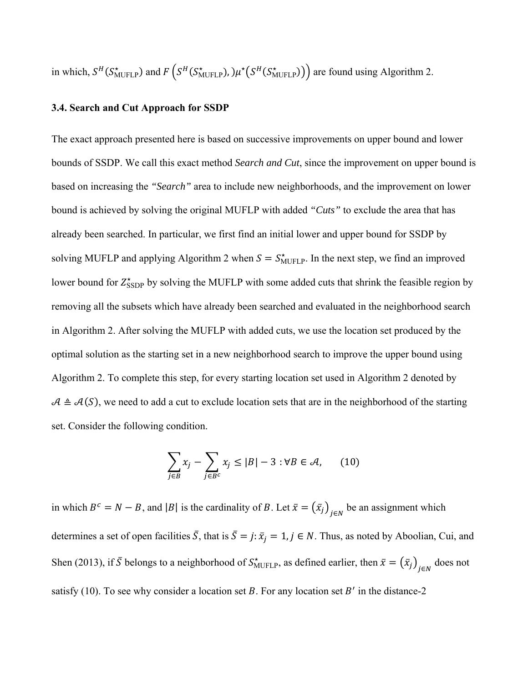in which,  $S^H(S^*_{\text{MUFLP}})$  and  $F(S^H(S^*_{\text{MUFLP}}))$ ,  $\mu^*(S^H(S^*_{\text{MUFLP}}))$  are found using Algorithm 2.

#### **3.4. Search and Cut Approach for SSDP**

The exact approach presented here is based on successive improvements on upper bound and lower bounds of SSDP. We call this exact method *Search and Cut*, since the improvement on upper bound is based on increasing the *"Search"* area to include new neighborhoods, and the improvement on lower bound is achieved by solving the original MUFLP with added *"Cuts"* to exclude the area that has already been searched. In particular, we first find an initial lower and upper bound for SSDP by solving MUFLP and applying Algorithm 2 when  $S = S_{\text{MUFLP}}^*$ . In the next step, we find an improved lower bound for  $Z_{\text{SSDP}}^{\star}$  by solving the MUFLP with some added cuts that shrink the feasible region by removing all the subsets which have already been searched and evaluated in the neighborhood search in Algorithm 2. After solving the MUFLP with added cuts, we use the location set produced by the optimal solution as the starting set in a new neighborhood search to improve the upper bound using Algorithm 2. To complete this step, for every starting location set used in Algorithm 2 denoted by  $A \triangleq A(S)$ , we need to add a cut to exclude location sets that are in the neighborhood of the starting set. Consider the following condition.

$$
\sum_{j \in B} x_j - \sum_{j \in B^c} x_j \le |B| - 3 : \forall B \in \mathcal{A}, \qquad (10)
$$

in which  $B^c = N - B$ , and |B| is the cardinality of B. Let  $\bar{x} = (\bar{x}_j)_{j \in N}$  be an assignment which determines a set of open facilities  $\bar{S}$ , that is  $\bar{S} = j: \bar{x}_j = 1, j \in N$ . Thus, as noted by Aboolian, Cui, and Shen (2013), if  $\bar{S}$  belongs to a neighborhood of  $S_{\text{MUFLP}}^*$ , as defined earlier, then  $\bar{x} = (\bar{x}_j)_{j \in N}$  does not satisfy (10). To see why consider a location set  $B$ . For any location set  $B'$  in the distance-2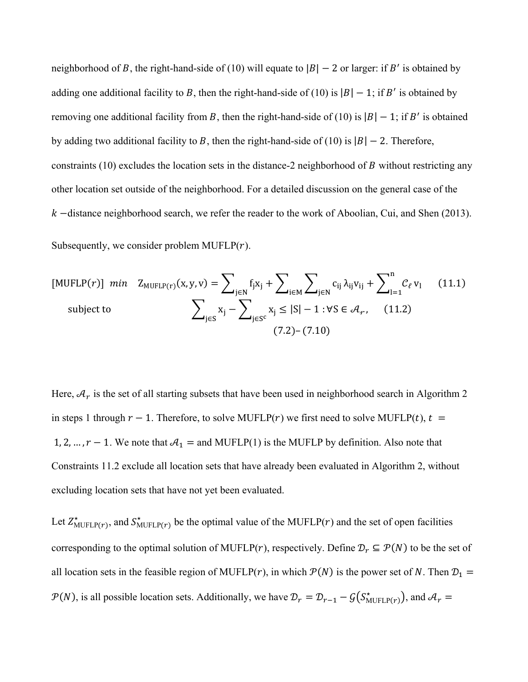neighborhood of B, the right-hand-side of (10) will equate to  $|B| - 2$  or larger: if B' is obtained by adding one additional facility to B, then the right-hand-side of (10) is  $|B| - 1$ ; if B' is obtained by removing one additional facility from B, then the right-hand-side of (10) is  $|B| - 1$ ; if B' is obtained by adding two additional facility to B, then the right-hand-side of (10) is  $|B| - 2$ . Therefore, constraints (10) excludes the location sets in the distance-2 neighborhood of  $B$  without restricting any other location set outside of the neighborhood. For a detailed discussion on the general case of the  $k$  -distance neighborhood search, we refer the reader to the work of Aboolian, Cui, and Shen (2013). Subsequently, we consider problem MUFLP $(r)$ .

[MUFLP(*r*)] min 
$$
Z_{MUFLP(r)}(x, y, v) = \sum_{j \in N} f_j x_j + \sum_{i \in M} \sum_{j \in N} c_{ij} \lambda_{ij} v_{ij} + \sum_{l=1}^n C_{\ell} v_l
$$
 (11.1)  
subject to 
$$
\sum_{j \in S} x_j - \sum_{j \in S^c} x_j \le |S| - 1 : \forall S \in \mathcal{A}_{\ell},
$$
 (11.2)  
(7.2)–(7.10)

Here,  $A_r$  is the set of all starting subsets that have been used in neighborhood search in Algorithm 2 in steps 1 through  $r-1$ . Therefore, to solve MUFLP( $r$ ) we first need to solve MUFLP( $t$ ),  $t =$ 1, 2, ...,  $r - 1$ . We note that  $\mathcal{A}_1 =$  and MUFLP(1) is the MUFLP by definition. Also note that Constraints 11.2 exclude all location sets that have already been evaluated in Algorithm 2, without excluding location sets that have not yet been evaluated.

Let  $Z_{\text{MUFLP}(r)}^*$ , and  $S_{\text{MUFLP}(r)}^*$  be the optimal value of the MUFLP(*r*) and the set of open facilities corresponding to the optimal solution of MUFLP( $r$ ), respectively. Define  $\mathcal{D}_r \subseteq \mathcal{P}(N)$  to be the set of all location sets in the feasible region of MUFLP( $r$ ), in which  $\mathcal{P}(N)$  is the power set of N. Then  $\mathcal{D}_1$  =  $P(N)$ , is all possible location sets. Additionally, we have  $\mathcal{D}_r = \mathcal{D}_{r-1} - \mathcal{G}(S^*_{\text{MUFLP}(r)})$ , and  $\mathcal{A}_r =$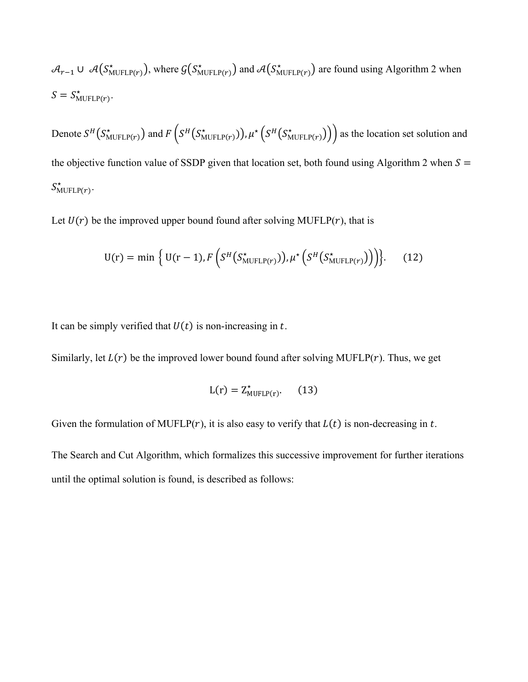$$
\mathcal{A}_{r-1} \cup \mathcal{A}(S^*_{\text{MUFLP}(r)}), \text{ where } \mathcal{G}(S^*_{\text{MUFLP}(r)}) \text{ and } \mathcal{A}(S^*_{\text{MUFLP}(r)}) \text{ are found using Algorithm 2 when}
$$
  

$$
S = S^*_{\text{MUFLP}(r)}.
$$

Denote  $S^H(S^*_{\text{MUFLP}(r)})$  and  $F(S^H(S^*_{\text{MUFLP}(r)}))$ ,  $\mu^* (S^H(S^*_{\text{MUFLP}(r)}))$  as the location set solution and the objective function value of SSDP given that location set, both found using Algorithm 2 when  $S =$  $S^*_{\text{MUFLP}(r)}$ .

Let  $U(r)$  be the improved upper bound found after solving MUFLP( $r$ ), that is

$$
U(r) = \min \left\{ U(r-1), F\left(S^H(S^{\star}_{MUFLP(r)})), \mu^{\star}\left(S^H(S^{\star}_{MUFLP(r)}))\right) \right\}.
$$
 (12)

It can be simply verified that  $U(t)$  is non-increasing in t.

Similarly, let  $L(r)$  be the improved lower bound found after solving MUFLP( $r$ ). Thus, we get

$$
L(r) = Z^*_{\text{MUFLP}(r)}.\qquad(13)
$$

Given the formulation of MUFLP( $r$ ), it is also easy to verify that  $L(t)$  is non-decreasing in  $t$ .

The Search and Cut Algorithm, which formalizes this successive improvement for further iterations until the optimal solution is found, is described as follows: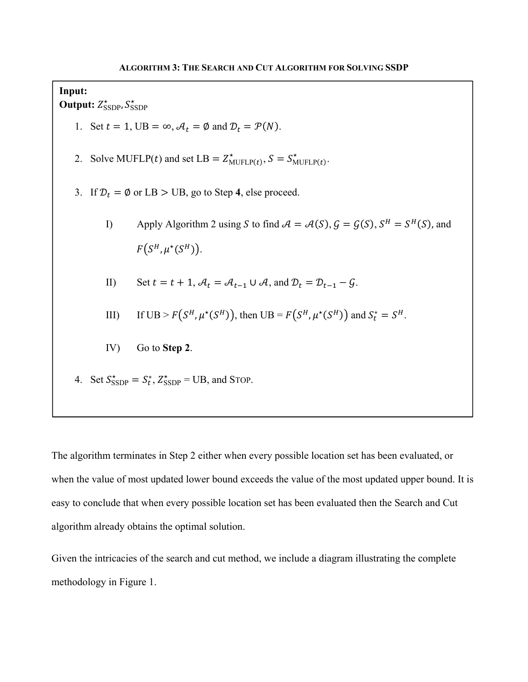**Input: Output:**  $Z^{\star}_{\text{SSDP}}$ ,  $S^{\star}_{\text{SSDP}}$ 1. Set  $t = 1$ , UB =  $\infty$ ,  $A_t = \emptyset$  and  $D_t = \mathcal{P}(N)$ . 2. Solve MUFLP(t) and set LB =  $Z_{\text{MUFLP}(t)}^*$ ,  $S = S_{\text{MUFLP}(t)}^*$ . 3. If  $\mathcal{D}_t = \emptyset$  or LB > UB, go to Step 4, else proceed. I) Apply Algorithm 2 using S to find  $A = A(S), G = G(S), S^H = S^H(S)$ , and  $F(S^H, \mu^*(S^H)).$ II) Set  $t = t + 1$ ,  $A_t = A_{t-1} \cup A$ , and  $D_t = D_{t-1} - G$ . III) If  $UB > F(S^H, \mu^*(S^H))$ , then  $UB = F(S^H, \mu^*(S^H))$  and  $S_t^* = S^H$ . IV) Go to **Step 2**. 4. Set  $S_{\text{SSDP}}^* = S_t^*$ ,  $Z_{\text{SSDP}}^* = \text{UB}$ , and STOP.

The algorithm terminates in Step 2 either when every possible location set has been evaluated, or when the value of most updated lower bound exceeds the value of the most updated upper bound. It is easy to conclude that when every possible location set has been evaluated then the Search and Cut algorithm already obtains the optimal solution.

Given the intricacies of the search and cut method, we include a diagram illustrating the complete methodology in Figure 1.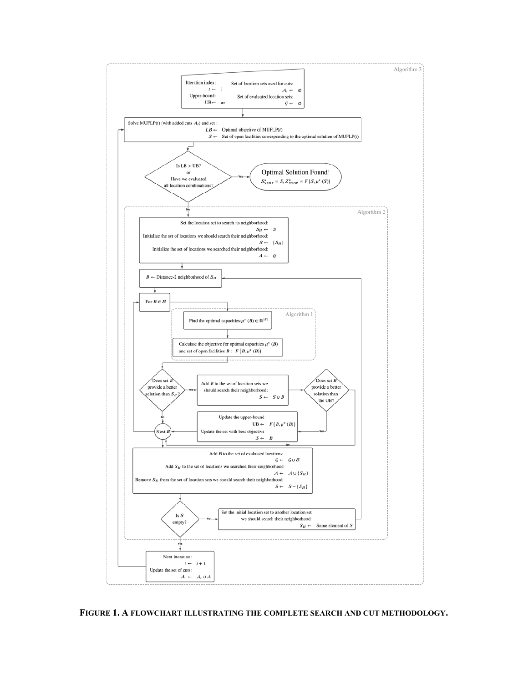

**FIGURE 1. A FLOWCHART ILLUSTRATING THE COMPLETE SEARCH AND CUT METHODOLOGY.**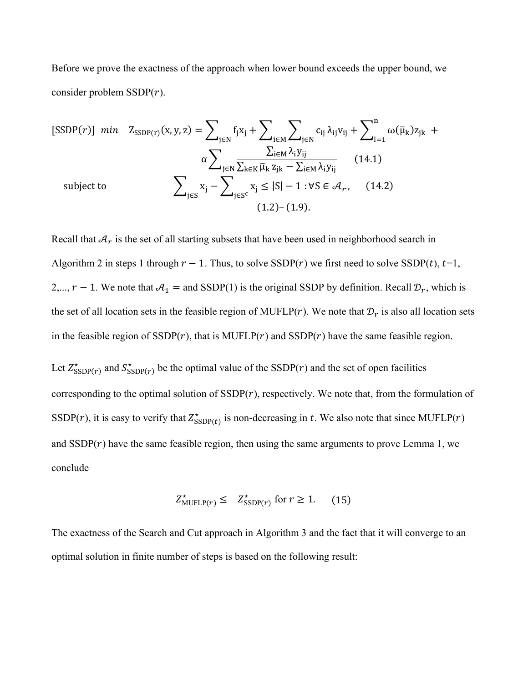Before we prove the exactness of the approach when lower bound exceeds the upper bound, we consider problem  $SSDP(r)$ .

[SSDP(r)] min 
$$
Z_{SSDP(r)}(x, y, z) = \sum_{j \in N} f_j x_j + \sum_{i \in M} \sum_{j \in N} c_{ij} \lambda_{ij} v_{ij} + \sum_{l=1}^{n} \omega(\bar{\mu}_k) z_{jk} + \alpha \sum_{j \in N} \frac{\sum_{i \in M} \lambda_i y_{ij}}{\sum_{k \in K} \bar{\mu}_k z_{jk} - \sum_{i \in M} \lambda_i y_{ij}}}
$$
 (14.1)  
\nsubject to  $\sum_{j \in S} x_j - \sum_{j \in S^c} x_j \le |S| - 1 : \forall S \in \mathcal{A}_r$ , (14.2)  
\n(1.2)–(1.9).

Recall that  $A_r$  is the set of all starting subsets that have been used in neighborhood search in Algorithm 2 in steps 1 through  $r-1$ . Thus, to solve SSDP( $r$ ) we first need to solve SSDP( $t$ ),  $t=1$ , 2,...,  $r-1$ . We note that  $A_1 =$  and SSDP(1) is the original SSDP by definition. Recall  $\mathcal{D}_r$ , which is the set of all location sets in the feasible region of MUFLP( $r$ ). We note that  $\mathcal{D}_r$  is also all location sets in the feasible region of  $SSDP(r)$ , that is MUFLP( $r$ ) and  $SSDP(r)$  have the same feasible region.

Let  $Z_{\text{SSDP}(r)}^{\star}$  and  $S_{\text{SSDP}(r)}^{\star}$  be the optimal value of the SSDP(*r*) and the set of open facilities corresponding to the optimal solution of  $SSDP(r)$ , respectively. We note that, from the formulation of SSDP(r), it is easy to verify that  $Z_{\text{SSDP}(t)}^{\star}$  is non-decreasing in t. We also note that since MUFLP(r) and  $SSDP(r)$  have the same feasible region, then using the same arguments to prove Lemma 1, we conclude

$$
Z_{\text{MUFLP}(r)}^{\star} \leq Z_{\text{SSDP}(r)}^{\star} \text{ for } r \geq 1. \tag{15}
$$

The exactness of the Search and Cut approach in Algorithm 3 and the fact that it will converge to an optimal solution in finite number of steps is based on the following result: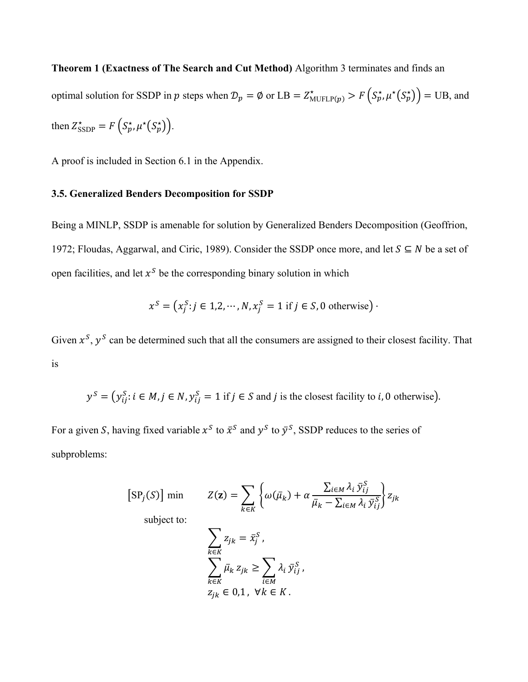**Theorem 1 (Exactness of The Search and Cut Method)** Algorithm 3 terminates and finds an optimal solution for SSDP in p steps when  $\mathcal{D}_p = \emptyset$  or LB =  $Z_{\text{MUFLP}(p)}^* > F\left(\mathcal{S}_p^*, \mu^*(\mathcal{S}_p^*)\right) = \text{UB}$ , and then  $Z_{\text{SSDP}}^* = F(S_p^*, \mu^*(S_p^*))$ .

A proof is included in Section 6.1 in the Appendix.

#### **3.5. Generalized Benders Decomposition for SSDP**

Being a MINLP, SSDP is amenable for solution by Generalized Benders Decomposition (Geoffrion, 1972; Floudas, Aggarwal, and Ciric, 1989). Consider the SSDP once more, and let  $S \subseteq N$  be a set of open facilities, and let  $x^s$  be the corresponding binary solution in which

$$
x^{S} = (x_j^{S}: j \in 1, 2, \cdots, N, x_j^{S} = 1 \text{ if } j \in S, 0 \text{ otherwise})
$$

Given  $x^s$ ,  $y^s$  can be determined such that all the consumers are assigned to their closest facility. That is

$$
y^S = (y_{ij}^S : i \in M, j \in N, y_{ij}^S = 1
$$
 if  $j \in S$  and  $j$  is the closest facility to  $i, 0$  otherwise).

For a given S, having fixed variable  $x^S$  to  $\bar{x}^S$  and  $y^S$  to  $\bar{y}^S$ , SSDP reduces to the series of subproblems:

$$
[\text{SP}_j(S)] \text{ min} \qquad Z(\mathbf{z}) = \sum_{k \in K} \left\{ \omega(\bar{\mu}_k) + \alpha \frac{\sum_{i \in M} \lambda_i \, \bar{y}_{ij}^S}{\bar{\mu}_k - \sum_{i \in M} \lambda_i \, \bar{y}_{ij}^S} \right\} z_{jk}
$$

subject to:

$$
\sum_{k \in K} z_{jk} = \bar{x}_j^S,
$$
\n
$$
\sum_{k \in K} \bar{\mu}_k z_{jk} \ge \sum_{i \in M} \lambda_i \bar{y}_{ij}^S,
$$
\n
$$
z_{jk} \in 0, 1, \forall k \in K.
$$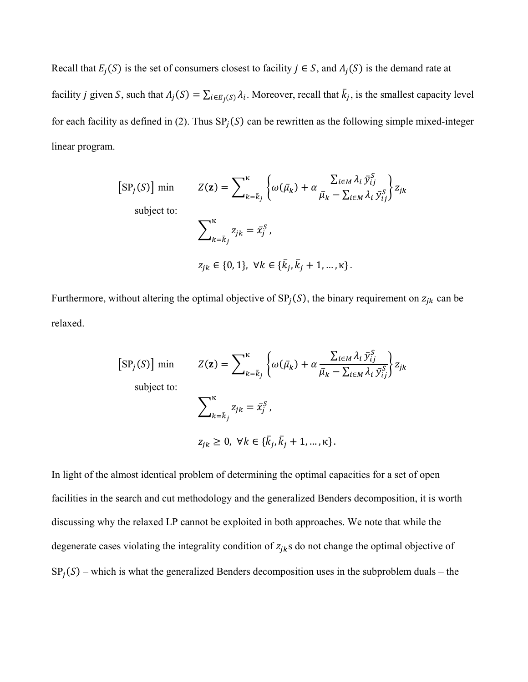Recall that  $E_i(S)$  is the set of consumers closest to facility  $j \in S$ , and  $\Lambda_i(S)$  is the demand rate at facility *j* given *S*, such that  $\Lambda_j(S) = \sum_{i \in E_j(S)} \lambda_i$ . Moreover, recall that  $\bar{k}_j$ , is the smallest capacity level for each facility as defined in (2). Thus  $SP<sub>i</sub>(S)$  can be rewritten as the following simple mixed-integer linear program.

$$
[\text{SP}_j(S)] \text{ min} \qquad Z(\mathbf{z}) = \sum_{k=\bar{k}_j}^{\kappa} \left\{ \omega(\bar{\mu}_k) + \alpha \frac{\sum_{i \in M} \lambda_i \bar{y}_{ij}^S}{\bar{\mu}_k - \sum_{i \in M} \lambda_i \bar{y}_{ij}^S} \right\} z_{jk}
$$
\n
$$
\sum_{k=\bar{k}_j}^{\kappa} z_{jk} = \bar{x}_j^S,
$$
\n
$$
z_{jk} \in \{0, 1\}, \ \forall k \in \{\bar{k}_j, \bar{k}_j + 1, \dots, \kappa\}.
$$

Furthermore, without altering the optimal objective of  $SP<sub>j</sub>(S)$ , the binary requirement on  $z<sub>jk</sub>$  can be relaxed.

$$
[\text{SP}_j(S)] \text{ min} \qquad Z(\mathbf{z}) = \sum_{k=\bar{k}_j}^{\kappa} \left\{ \omega(\bar{\mu}_k) + \alpha \frac{\sum_{i \in M} \lambda_i \bar{y}_{ij}^S}{\bar{\mu}_k - \sum_{i \in M} \lambda_i \bar{y}_{ij}^S} \right\} z_{jk}
$$
\n
$$
\sum_{k=\bar{k}_j}^{\kappa} z_{jk} = \bar{x}_j^S,
$$
\n
$$
z_{jk} \ge 0, \forall k \in \{\bar{k}_j, \bar{k}_j + 1, ..., \kappa\}.
$$

In light of the almost identical problem of determining the optimal capacities for a set of open facilities in the search and cut methodology and the generalized Benders decomposition, it is worth discussing why the relaxed LP cannot be exploited in both approaches. We note that while the degenerate cases violating the integrality condition of  $z_{jk}$ s do not change the optimal objective of  $SP<sub>j</sub>(S)$  – which is what the generalized Benders decomposition uses in the subproblem duals – the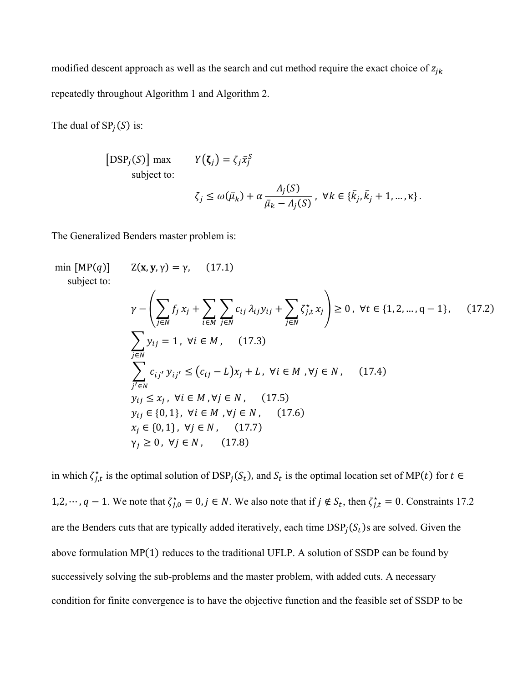modified descent approach as well as the search and cut method require the exact choice of  $z_{jk}$ repeatedly throughout Algorithm 1 and Algorithm 2.

The dual of  $SP<sub>j</sub>(S)$  is:

[DSP<sub>j</sub>(S)] max 
$$
Y(\zeta_j) = \zeta_j \bar{x}_j^S
$$
  
\nsubject to:  
\n
$$
\zeta_j \le \omega(\bar{\mu}_k) + \alpha \frac{\Lambda_j(S)}{\bar{\mu}_k - \Lambda_j(S)}, \ \forall k \in \{\bar{k}_j, \bar{k}_j + 1, ..., \kappa\}.
$$

The Generalized Benders master problem is:

min [MP(*q*)] 
$$
Z(\mathbf{x}, \mathbf{y}, \gamma) = \gamma
$$
, (17.1)  
\nsubject to:  
\n
$$
\gamma - \left(\sum_{j \in N} f_j x_j + \sum_{i \in M} \sum_{j \in N} c_{ij} \lambda_{ij} y_{ij} + \sum_{j \in N} \zeta_{j,t}^* x_j \right) \ge 0, \forall t \in \{1, 2, ..., q - 1\}, \quad (17.2)
$$
\n
$$
\sum_{j \in N} y_{ij} = 1, \forall i \in M, \quad (17.3)
$$
\n
$$
\sum_{j' \in N} c_{ij'} y_{ij'} \le (c_{ij} - L)x_j + L, \forall i \in M, \forall j \in N, \quad (17.4)
$$
\n
$$
y_{ij} \le x_j, \forall i \in M, \forall j \in N, \quad (17.5)
$$
\n
$$
y_{ij} \in \{0, 1\}, \forall i \in M, \forall j \in N, \quad (17.6)
$$
\n
$$
x_j \in \{0, 1\}, \forall j \in N, \quad (17.7)
$$
\n
$$
\gamma_j \ge 0, \forall j \in N, \quad (17.8)
$$

in which  $\zeta_{j,t}^*$  is the optimal solution of  $\text{DSP}_j(\zeta_t)$ , and  $\zeta_t$  is the optimal location set of MP(t) for  $t \in$ 1,2, …,  $q-1$ . We note that  $\zeta_{j,0}^* = 0$ ,  $j \in N$ . We also note that if  $j \notin S_t$ , then  $\zeta_{j,t}^* = 0$ . Constraints 17.2 are the Benders cuts that are typically added iteratively, each time  $\text{DSP}_i(\mathcal{S}_t)$ s are solved. Given the above formulation  $MP(1)$  reduces to the traditional UFLP. A solution of SSDP can be found by successively solving the sub-problems and the master problem, with added cuts. A necessary condition for finite convergence is to have the objective function and the feasible set of SSDP to be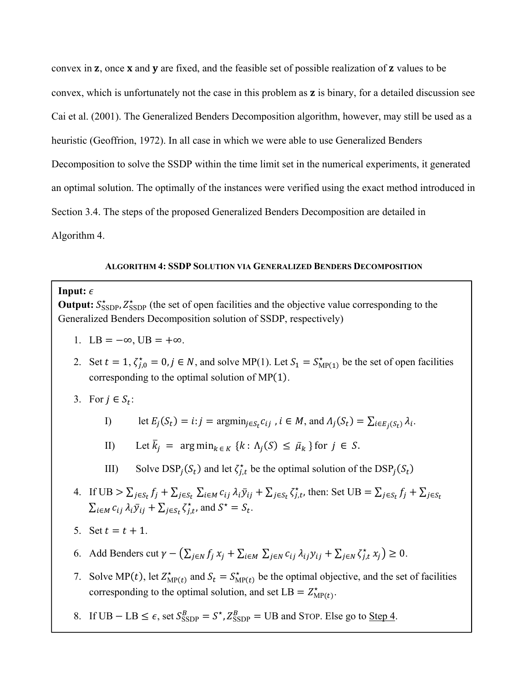convex in  $z$ , once  $x$  and  $y$  are fixed, and the feasible set of possible realization of  $z$  values to be convex, which is unfortunately not the case in this problem as ܢ is binary, for a detailed discussion see Cai et al. (2001). The Generalized Benders Decomposition algorithm, however, may still be used as a heuristic (Geoffrion, 1972). In all case in which we were able to use Generalized Benders Decomposition to solve the SSDP within the time limit set in the numerical experiments, it generated an optimal solution. The optimally of the instances were verified using the exact method introduced in Section 3.4. The steps of the proposed Generalized Benders Decomposition are detailed in Algorithm 4.

#### **ALGORITHM 4: SSDP SOLUTION VIA GENERALIZED BENDERS DECOMPOSITION**

#### **Input:**  $\epsilon$

**Output:**  $S_{\text{SSDP}}^*$ ,  $Z_{\text{SSDP}}^*$  (the set of open facilities and the objective value corresponding to the Generalized Benders Decomposition solution of SSDP, respectively)

- 1. LB =  $-\infty$ , UB =  $+\infty$ .
- 2. Set  $t = 1$ ,  $\zeta_{j,0}^* = 0$ ,  $j \in N$ , and solve MP(1). Let  $S_1 = S_{\text{MP}(1)}^*$  be the set of open facilities corresponding to the optimal solution of  $MP(1)$ .
- 3. For  $j \in S_t$ :

I) let 
$$
E_j(S_t) = i : j = \operatorname{argmin}_{j \in S_t} c_{ij}
$$
,  $i \in M$ , and  $\Lambda_j(S_t) = \sum_{i \in E_j(S_t)} \lambda_i$ .

II) Let  $\overline{k}_j = \arg \min_{k \in K} \{k : \Lambda_j(S) \leq \overline{\mu}_k \}$  for  $j \in S$ .

- III) Solve  $\text{DSP}_j(S_t)$  and let  $\zeta_{j,t}^*$  be the optimal solution of the  $\text{DSP}_j(S_t)$
- 4. If  $UB > \sum_{j \in S_t} f_j + \sum_{j \in S_t} \sum_{i \in M} c_{ij} \lambda_i \bar{y}_{ij} + \sum_{j \in S_t} \zeta_{j,t}^*$ , then: Set  $UB = \sum_{j \in S_t} f_j + \sum_{j \in S_t} \zeta_{j,t}^*$  $\sum_{i \in M} c_{ij} \lambda_i \bar{y}_{ij} + \sum_{j \in S_t} \zeta_{j,t}^*$ , and  $S^* = S_t$ .
- 5. Set  $t = t + 1$ .
- 6. Add Benders cut  $\gamma (\sum_{j \in N} f_j x_j + \sum_{i \in M} \sum_{j \in N} c_{ij} \lambda_{ij} y_{ij} + \sum_{j \in N} \zeta_{j,t}^* x_j) \ge 0$ .
- 7. Solve MP(t), let  $Z_{\text{MP}(t)}^{\star}$  and  $S_t = S_{\text{MP}(t)}^{\star}$  be the optimal objective, and the set of facilities corresponding to the optimal solution, and set  $LB = Z_{MP(t)}^*$ .
- 8. If  $UB LB \leq \epsilon$ , set  $S_{\text{SSDP}}^B = S^*$ ,  $Z_{\text{SSDP}}^B = UB$  and STOP. Else go to <u>Step 4</u>.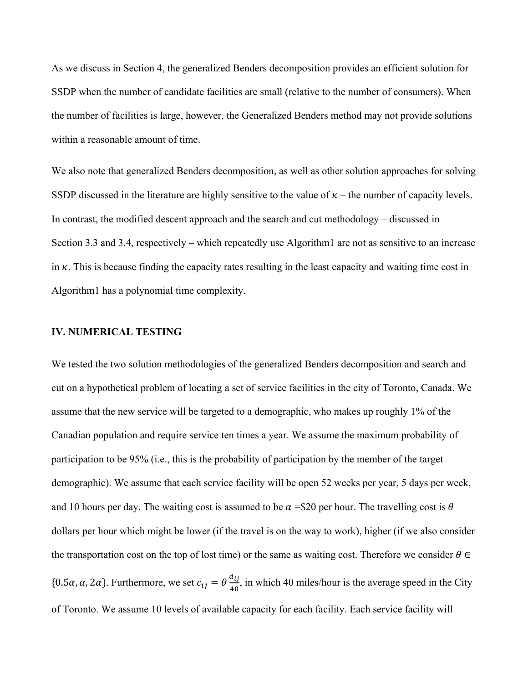As we discuss in Section 4, the generalized Benders decomposition provides an efficient solution for SSDP when the number of candidate facilities are small (relative to the number of consumers). When the number of facilities is large, however, the Generalized Benders method may not provide solutions within a reasonable amount of time.

We also note that generalized Benders decomposition, as well as other solution approaches for solving SSDP discussed in the literature are highly sensitive to the value of  $\kappa$  – the number of capacity levels. In contrast, the modified descent approach and the search and cut methodology – discussed in Section 3.3 and 3.4, respectively – which repeatedly use Algorithm1 are not as sensitive to an increase in  $\kappa$ . This is because finding the capacity rates resulting in the least capacity and waiting time cost in Algorithm1 has a polynomial time complexity.

# **IV. NUMERICAL TESTING**

We tested the two solution methodologies of the generalized Benders decomposition and search and cut on a hypothetical problem of locating a set of service facilities in the city of Toronto, Canada. We assume that the new service will be targeted to a demographic, who makes up roughly 1% of the Canadian population and require service ten times a year. We assume the maximum probability of participation to be 95% (i.e., this is the probability of participation by the member of the target demographic). We assume that each service facility will be open 52 weeks per year, 5 days per week, and 10 hours per day. The waiting cost is assumed to be  $\alpha = $20$  per hour. The travelling cost is  $\theta$ dollars per hour which might be lower (if the travel is on the way to work), higher (if we also consider the transportation cost on the top of lost time) or the same as waiting cost. Therefore we consider  $\theta \in \mathbb{R}$ {0.5 $\alpha$ ,  $\alpha$ ,  $2\alpha$ }. Furthermore, we set  $c_{ij} = \theta \frac{d_{ij}}{40}$ , in which 40 miles/hour is the average speed in the City of Toronto. We assume 10 levels of available capacity for each facility. Each service facility will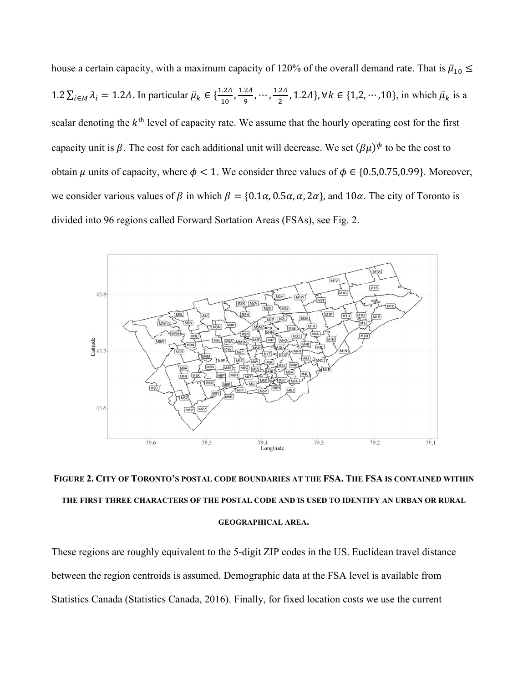house a certain capacity, with a maximum capacity of 120% of the overall demand rate. That is  $\bar{\mu}_{10} \leq$ 1.2  $\sum_{i \in M} \lambda_i = 1.2\Lambda$ . In particular  $\bar{\mu}_k \in \{\frac{1.2\Lambda}{10}, \frac{1.2\Lambda}{9}, \cdots, \frac{1.2\Lambda}{2}, 1.2\Lambda\}$ , ∀ $k \in \{1, 2, \cdots, 10\}$ , in which  $\bar{\mu}_k$  is a scalar denoting the  $k<sup>th</sup>$  level of capacity rate. We assume that the hourly operating cost for the first capacity unit is  $\beta$ . The cost for each additional unit will decrease. We set  $(\beta\mu)^{\phi}$  to be the cost to obtain  $\mu$  units of capacity, where  $\phi < 1$ . We consider three values of  $\phi \in \{0.5, 0.75, 0.99\}$ . Moreover, we consider various values of  $\beta$  in which  $\beta = \{0.1\alpha, 0.5\alpha, \alpha, 2\alpha\}$ , and  $10\alpha$ . The city of Toronto is divided into 96 regions called Forward Sortation Areas (FSAs), see Fig. 2.



**FIGURE 2. CITY OF TORONTO'S POSTAL CODE BOUNDARIES AT THE FSA. THE FSA IS CONTAINED WITHIN THE FIRST THREE CHARACTERS OF THE POSTAL CODE AND IS USED TO IDENTIFY AN URBAN OR RURAL GEOGRAPHICAL AREA.** 

These regions are roughly equivalent to the 5‐digit ZIP codes in the US. Euclidean travel distance between the region centroids is assumed. Demographic data at the FSA level is available from Statistics Canada (Statistics Canada, 2016). Finally, for fixed location costs we use the current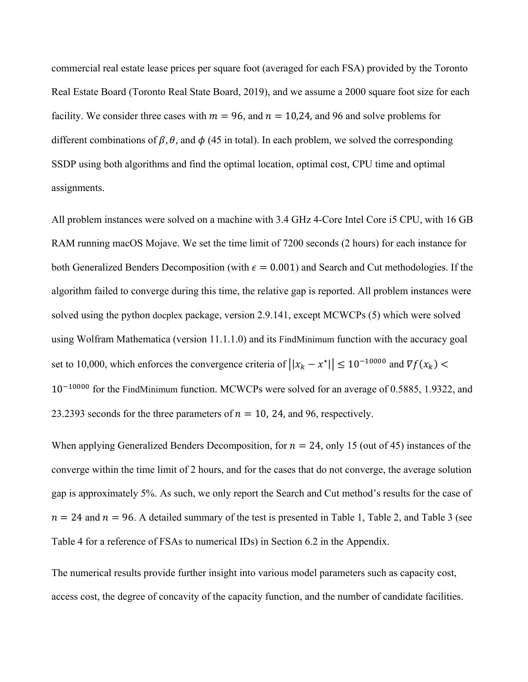commercial real estate lease prices per square foot (averaged for each FSA) provided by the Toronto Real Estate Board (Toronto Real State Board, 2019), and we assume a 2000 square foot size for each facility. We consider three cases with  $m = 96$ , and  $n = 10,24$ , and 96 and solve problems for different combinations of  $\beta$ ,  $\theta$ , and  $\phi$  (45 in total). In each problem, we solved the corresponding SSDP using both algorithms and find the optimal location, optimal cost, CPU time and optimal assignments.

All problem instances were solved on a machine with 3.4 GHz 4-Core Intel Core i5 CPU, with 16 GB RAM running macOS Mojave. We set the time limit of 7200 seconds (2 hours) for each instance for both Generalized Benders Decomposition (with  $\epsilon = 0.001$ ) and Search and Cut methodologies. If the algorithm failed to converge during this time, the relative gap is reported. All problem instances were solved using the python docplex package, version 2.9.141, except MCWCPs (5) which were solved using Wolfram Mathematica (version 11.1.1.0) and its FindMinimum function with the accuracy goal set to 10,000, which enforces the convergence criteria of  $||x_k - x^*|| \le 10^{-10000}$  and  $\nabla f(x_k)$  $10^{-10000}$  for the FindMinimum function. MCWCPs were solved for an average of 0.5885, 1.9322, and 23.2393 seconds for the three parameters of  $n = 10$ , 24, and 96, respectively.

When applying Generalized Benders Decomposition, for  $n = 24$ , only 15 (out of 45) instances of the converge within the time limit of 2 hours, and for the cases that do not converge, the average solution gap is approximately 5%. As such, we only report the Search and Cut method's results for the case of  $n = 24$  and  $n = 96$ . A detailed summary of the test is presented in Table 1, Table 2, and Table 3 (see Table 4 for a reference of FSAs to numerical IDs) in Section 6.2 in the Appendix.

The numerical results provide further insight into various model parameters such as capacity cost, access cost, the degree of concavity of the capacity function, and the number of candidate facilities.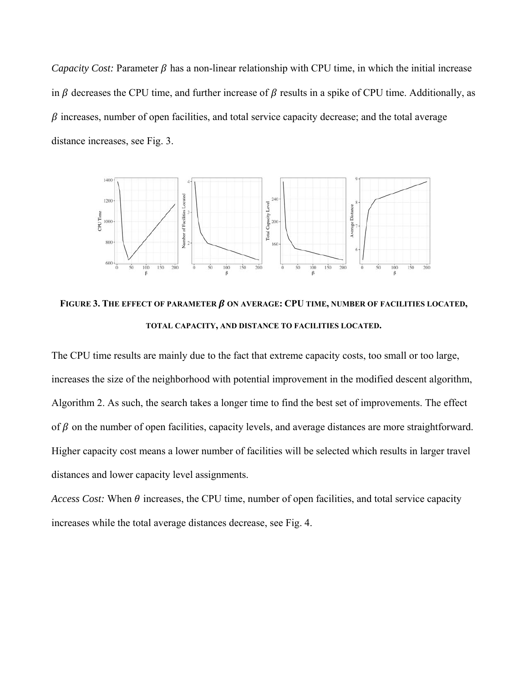*Capacity Cost:* Parameter  $\beta$  has a non-linear relationship with CPU time, in which the initial increase in  $\beta$  decreases the CPU time, and further increase of  $\beta$  results in a spike of CPU time. Additionally, as  $\beta$  increases, number of open facilities, and total service capacity decrease; and the total average distance increases, see Fig. 3.



FIGURE 3. THE EFFECT OF PARAMETER  $\beta$  on average: CPU time, number of facilities located, **TOTAL CAPACITY, AND DISTANCE TO FACILITIES LOCATED.** 

The CPU time results are mainly due to the fact that extreme capacity costs, too small or too large, increases the size of the neighborhood with potential improvement in the modified descent algorithm, Algorithm 2. As such, the search takes a longer time to find the best set of improvements. The effect of  $\beta$  on the number of open facilities, capacity levels, and average distances are more straightforward. Higher capacity cost means a lower number of facilities will be selected which results in larger travel distances and lower capacity level assignments.

*Access Cost:* When  $\theta$  increases, the CPU time, number of open facilities, and total service capacity increases while the total average distances decrease, see Fig. 4.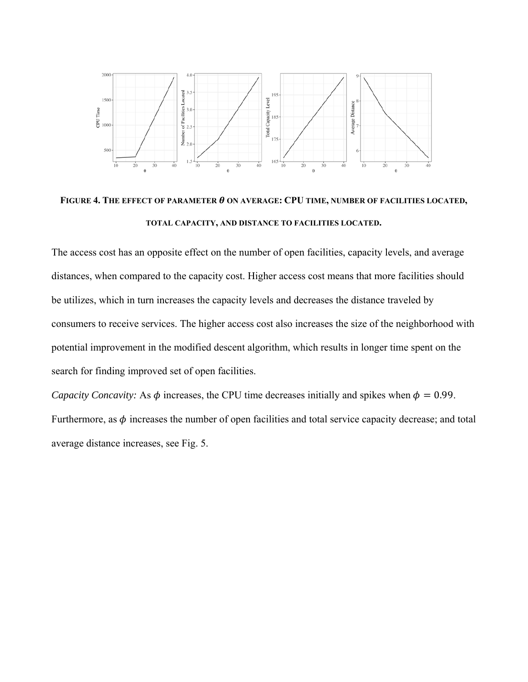

**FIGURE 4. THE EFFECT OF PARAMETER** ࣂ **ON AVERAGE: CPU TIME, NUMBER OF FACILITIES LOCATED, TOTAL CAPACITY, AND DISTANCE TO FACILITIES LOCATED.** 

The access cost has an opposite effect on the number of open facilities, capacity levels, and average distances, when compared to the capacity cost. Higher access cost means that more facilities should be utilizes, which in turn increases the capacity levels and decreases the distance traveled by consumers to receive services. The higher access cost also increases the size of the neighborhood with potential improvement in the modified descent algorithm, which results in longer time spent on the search for finding improved set of open facilities.

*Capacity Concavity:* As  $\phi$  increases, the CPU time decreases initially and spikes when  $\phi = 0.99$ . Furthermore, as  $\phi$  increases the number of open facilities and total service capacity decrease; and total average distance increases, see Fig. 5.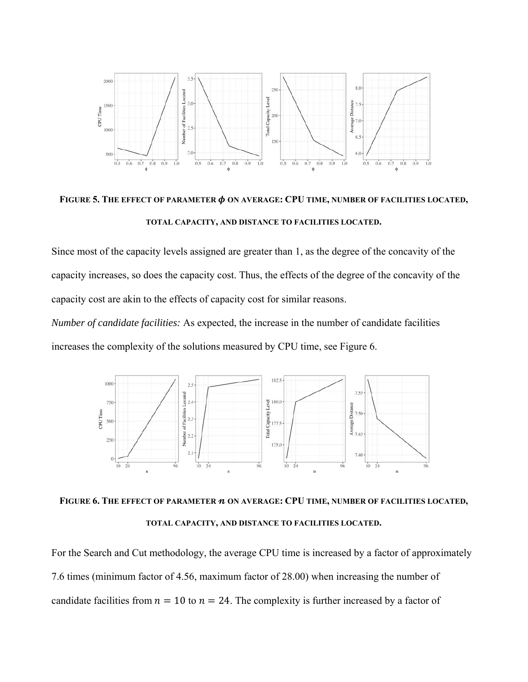

**FIGURE 5. THE EFFECT OF PARAMETER** ࣘ **ON AVERAGE: CPU TIME, NUMBER OF FACILITIES LOCATED, TOTAL CAPACITY, AND DISTANCE TO FACILITIES LOCATED.** 

Since most of the capacity levels assigned are greater than 1, as the degree of the concavity of the capacity increases, so does the capacity cost. Thus, the effects of the degree of the concavity of the capacity cost are akin to the effects of capacity cost for similar reasons.

*Number of candidate facilities:* As expected, the increase in the number of candidate facilities increases the complexity of the solutions measured by CPU time, see Figure 6.





For the Search and Cut methodology, the average CPU time is increased by a factor of approximately 7.6 times (minimum factor of 4.56, maximum factor of 28.00) when increasing the number of candidate facilities from  $n = 10$  to  $n = 24$ . The complexity is further increased by a factor of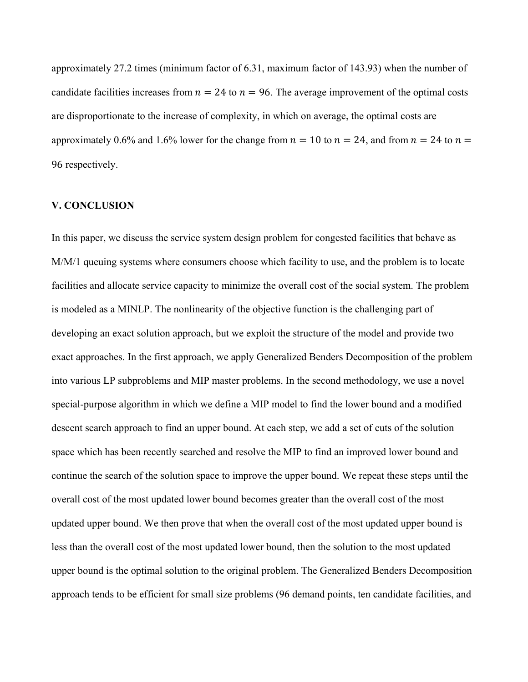approximately 27.2 times (minimum factor of 6.31, maximum factor of 143.93) when the number of candidate facilities increases from  $n = 24$  to  $n = 96$ . The average improvement of the optimal costs are disproportionate to the increase of complexity, in which on average, the optimal costs are approximately 0.6% and 1.6% lower for the change from  $n = 10$  to  $n = 24$ , and from  $n = 24$  to  $n =$ 96 respectively.

# **V. CONCLUSION**

In this paper, we discuss the service system design problem for congested facilities that behave as M/M/1 queuing systems where consumers choose which facility to use, and the problem is to locate facilities and allocate service capacity to minimize the overall cost of the social system. The problem is modeled as a MINLP. The nonlinearity of the objective function is the challenging part of developing an exact solution approach, but we exploit the structure of the model and provide two exact approaches. In the first approach, we apply Generalized Benders Decomposition of the problem into various LP subproblems and MIP master problems. In the second methodology, we use a novel special-purpose algorithm in which we define a MIP model to find the lower bound and a modified descent search approach to find an upper bound. At each step, we add a set of cuts of the solution space which has been recently searched and resolve the MIP to find an improved lower bound and continue the search of the solution space to improve the upper bound. We repeat these steps until the overall cost of the most updated lower bound becomes greater than the overall cost of the most updated upper bound. We then prove that when the overall cost of the most updated upper bound is less than the overall cost of the most updated lower bound, then the solution to the most updated upper bound is the optimal solution to the original problem. The Generalized Benders Decomposition approach tends to be efficient for small size problems (96 demand points, ten candidate facilities, and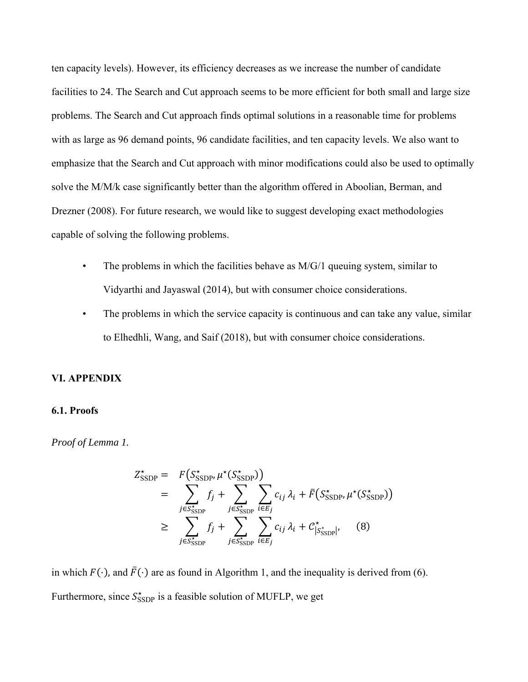ten capacity levels). However, its efficiency decreases as we increase the number of candidate facilities to 24. The Search and Cut approach seems to be more efficient for both small and large size problems. The Search and Cut approach finds optimal solutions in a reasonable time for problems with as large as 96 demand points, 96 candidate facilities, and ten capacity levels. We also want to emphasize that the Search and Cut approach with minor modifications could also be used to optimally solve the M/M/k case significantly better than the algorithm offered in Aboolian, Berman, and Drezner (2008). For future research, we would like to suggest developing exact methodologies capable of solving the following problems.

- The problems in which the facilities behave as  $M/G/1$  queuing system, similar to Vidyarthi and Jayaswal (2014), but with consumer choice considerations.
- The problems in which the service capacity is continuous and can take any value, similar to Elhedhli, Wang, and Saif (2018), but with consumer choice considerations.

#### **VI. APPENDIX**

#### **6.1. Proofs**

*Proof of Lemma 1.* 

$$
Z_{\text{SSDP}}^{\star} = F(S_{\text{SSDP}}^{\star}, \mu^{\star}(S_{\text{SSDP}}^{\star}))
$$
  
\n
$$
= \sum_{j \in S_{\text{SSDP}}^{\star}} f_j + \sum_{j \in S_{\text{SSDP}}^{\star}} \sum_{i \in E_j} c_{ij} \lambda_i + \bar{F}(S_{\text{SSDP}}^{\star}, \mu^{\star}(S_{\text{SSDP}}^{\star}))
$$
  
\n
$$
\geq \sum_{j \in S_{\text{SSDP}}^{\star}} f_j + \sum_{j \in S_{\text{SSDP}}^{\star}} \sum_{i \in E_j} c_{ij} \lambda_i + C_{|S_{\text{SSDP}}^{\star}|}^{\star}, \quad (8)
$$

in which  $F(\cdot)$ , and  $\bar{F}(\cdot)$  are as found in Algorithm 1, and the inequality is derived from (6). Furthermore, since  $S_{\text{SSDP}}^*$  is a feasible solution of MUFLP, we get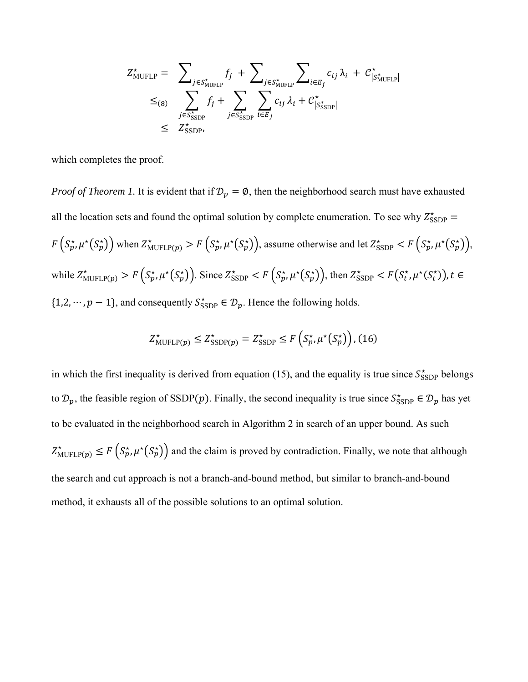$$
Z_{\text{MUFLP}}^{\star} = \sum_{j \in S_{\text{MUFLP}}^{\star}} f_j + \sum_{j \in S_{\text{MUFLP}}^{\star}} \sum_{i \in E_j} c_{ij} \lambda_i + C_{|S_{\text{MUFLP}}^{\star}|}^{\star}
$$
  

$$
\leq_{(8)} \sum_{j \in S_{\text{SSDP}}^{\star}} f_j + \sum_{j \in S_{\text{SSDP}}^{\star}} \sum_{i \in E_j} c_{ij} \lambda_i + C_{|S_{\text{SSDP}}^{\star}|}^{\star}
$$
  

$$
\leq Z_{\text{SSDP}}^{\star},
$$

which completes the proof.

*Proof of Theorem 1.* It is evident that if  $\mathcal{D}_p = \emptyset$ , then the neighborhood search must have exhausted all the location sets and found the optimal solution by complete enumeration. To see why  $Z_{\text{SSDP}}^{\star} =$  $F(S_p^*, \mu^*(S_p^*))$  when  $Z_{\text{MUFLP}(p)}^* > F(S_p^*, \mu^*(S_p^*))$ , assume otherwise and let  $Z_{\text{SSDP}}^* < F(S_p^*, \mu^*(S_p^*))$ , while  $Z_{\text{MUFLP}(p)}^{\star} > F\left(S_p^{\star}, \mu^{\star}(S_p^{\star})\right)$ . Since  $Z_{\text{SSDP}}^{\star} < F\left(S_p^{\star}, \mu^{\star}(S_p^{\star})\right)$ , then  $Z_{\text{SSDP}}^{\star} < F\left(S_t^{\star}, \mu^{\star}(S_t^{\star})\right)$ ,  $t \in I$  $\{1,2,\dots, p-1\}$ , and consequently  $S_{\text{SSDP}}^* \in \mathcal{D}_p$ . Hence the following holds.

$$
Z_{\text{MUFLP}(p)}^{\star} \leq Z_{\text{SSDP}(p)}^{\star} = Z_{\text{SSDP}}^{\star} \leq F\left(S_p^{\star}, \mu^{\star}\left(S_p^{\star}\right)\right), (16)
$$

in which the first inequality is derived from equation (15), and the equality is true since  $S_{\text{SSDP}}^{\star}$  belongs to  $\mathcal{D}_p$ , the feasible region of SSDP(p). Finally, the second inequality is true since  $S_{\text{SSDP}}^* \in \mathcal{D}_p$  has yet to be evaluated in the neighborhood search in Algorithm 2 in search of an upper bound. As such  $Z_{\text{MUFLP}(p)}^* \leq F(S_p^*, \mu^*(S_p^*))$  and the claim is proved by contradiction. Finally, we note that although the search and cut approach is not a branch-and-bound method, but similar to branch-and-bound method, it exhausts all of the possible solutions to an optimal solution.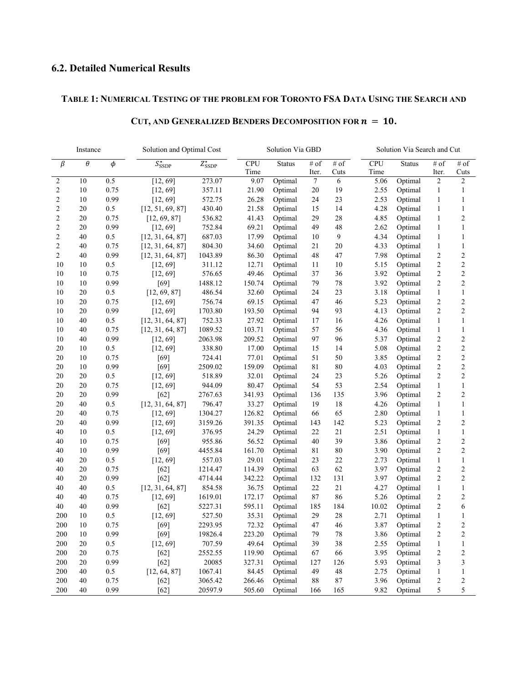# **6.2. Detailed Numerical Results**

# **TABLE 1: NUMERICAL TESTING OF THE PROBLEM FOR TORONTO FSA DATA USING THE SEARCH AND**

| Instance       |          |         | Solution and Optimal Cost |                                                                                        |        | Solution Via GBD |                    |              |               | Solution Via Search and Cut |                         |                         |  |
|----------------|----------|---------|---------------------------|----------------------------------------------------------------------------------------|--------|------------------|--------------------|--------------|---------------|-----------------------------|-------------------------|-------------------------|--|
| β              | $\theta$ | $\phi$  | $S_{\text{SSDP}}^{\star}$ | <b>CPU</b><br>$\#$ of<br>Status<br># of<br>$Z_{SSDP}^{\star}$<br>Time<br>Cuts<br>Iter. |        |                  | <b>CPU</b><br>Time | Status       | # of<br>Iter. | $\#$ of<br>Cuts             |                         |                         |  |
| 2              | 10       | 0.5     | [12, 69]                  | 273.07                                                                                 | 9.07   | Optimal          | 7                  | 6            | 5.06          | Optimal                     | 2                       | $\overline{\mathbf{c}}$ |  |
| 2              | 10       | 0.75    | [12, 69]                  | 357.11                                                                                 | 21.90  | Optimal          | 20                 | 19           | 2.55          | Optimal                     | $\mathbf{1}$            | $\mathbf{1}$            |  |
| 2              | 10       | 0.99    | [12, 69]                  | 572.75<br>23<br>26.28<br>Optimal<br>24                                                 |        | 2.53             | Optimal            | $\mathbf{1}$ | 1             |                             |                         |                         |  |
| $\overline{c}$ | 20       | 0.5     | [12, 51, 69, 87]          | 430.40                                                                                 | 21.58  | Optimal          | 15                 | 14           | 4.28          | Optimal                     | $\mathbf{1}$            | $\mathbf{1}$            |  |
| $\overline{c}$ | 20       | 0.75    | [12, 69, 87]              | 536.82                                                                                 | 41.43  | Optimal          | 29                 | 28           | 4.85          | Optimal                     | $\mathbf{1}$            | $\overline{c}$          |  |
| $\overline{c}$ | 20       | 0.99    | [12, 69]                  | 752.84                                                                                 | 69.21  | Optimal          | 49                 | 48           | 2.62          | Optimal                     | 1                       | $\mathbf{1}$            |  |
| $\overline{2}$ | 40       | 0.5     | [12, 31, 64, 87]          | 687.03<br>17.99                                                                        |        | Optimal          | 10                 | 9            | 4.34          | Optimal                     | 1                       | $\mathbf{1}$            |  |
| $\overline{c}$ | 40       | 0.75    | [12, 31, 64, 87]          | 804.30<br>34.60<br>Optimal                                                             |        | 21               | 20                 | 4.33         | Optimal       | 1                           | $\mathbf{1}$            |                         |  |
| 2              | 40       | 0.99    | [12, 31, 64, 87]          | 1043.89<br>86.30                                                                       |        | Optimal          | 48                 | 47           | 7.98          | Optimal                     | $\overline{c}$          | $\overline{c}$          |  |
| 10             | 10       | 0.5     | [12, 69]                  | 311.12                                                                                 | 12.71  | Optimal          | 11                 | 10           | 5.15          | Optimal                     | $\overline{c}$          | $\overline{c}$          |  |
| 10             | 10       | 0.75    | [12, 69]                  | 576.65                                                                                 | 49.46  | Optimal          | 37                 | 36           | 3.92          | Optimal                     | 2                       | $\overline{c}$          |  |
| 10             | 10       | 0.99    | [69]                      | 1488.12                                                                                | 150.74 | Optimal          | 79                 | 78           | 3.92          | Optimal                     | 2                       | $\overline{c}$          |  |
| 10             | 20       | 0.5     | [12, 69, 87]              | 486.54                                                                                 | 32.60  | Optimal          | 24                 | 23           | 3.18          | Optimal                     | $\mathbf{1}$            | $\,1$                   |  |
| 10             | 20       | 0.75    | [12, 69]                  | 756.74                                                                                 | 69.15  | Optimal          | 47                 | 46           | 5.23          | Optimal                     | $\overline{c}$          | $\overline{c}$          |  |
| 10             | 20       | 0.99    | [12, 69]                  | 1703.80                                                                                | 193.50 | Optimal          | 94                 | 93           | 4.13          | Optimal                     | $\overline{c}$          | $\overline{c}$          |  |
| 10             | 40       | 0.5     | [12, 31, 64, 87]          | 752.33                                                                                 | 27.92  | Optimal          | 17                 | 16           | 4.26          | Optimal                     | $\mathbf{1}$            | $\mathbf{1}$            |  |
| 10             | 40       | 0.75    | [12, 31, 64, 87]          | 1089.52                                                                                | 103.71 | Optimal          | 57                 | 56           | 4.36          | Optimal                     | 1                       | $\mathbf{1}$            |  |
| 10             | 40       | 0.99    | [12, 69]                  | 2063.98                                                                                | 209.52 | Optimal          | 97                 | 96           | 5.37          | Optimal                     | 2                       | $\overline{c}$          |  |
| 20             | 10       | 0.5     | [12, 69]                  | 338.80                                                                                 | 17.00  | Optimal          | 15                 | 14           | 5.08          | Optimal                     | $\overline{c}$          | $\overline{c}$          |  |
| 20             | 10       | 0.75    | $[69]$                    | 724.41                                                                                 | 77.01  | Optimal          | 51                 | 50           | 3.85          | Optimal                     | 2                       | $\overline{c}$          |  |
| 20             | 10       | 0.99    | [69]                      | 2509.02                                                                                | 159.09 | Optimal          | 81                 | 80           | 4.03          | Optimal                     | 2                       | $\overline{c}$          |  |
| 20             | 20       | 0.5     | [12, 69]                  | 518.89                                                                                 | 32.01  | Optimal          | 24                 | 23           | 5.26          | Optimal                     | 2                       | $\overline{c}$          |  |
| 20             | 20       | 0.75    | [12, 69]                  | 944.09                                                                                 | 80.47  | Optimal          | 54                 | 53           | 2.54          | Optimal                     | $\mathbf{1}$            | $\mathbf{1}$            |  |
| 20             | 20       | 0.99    | $[62]$                    | 2767.63                                                                                | 341.93 | Optimal          | 136                | 135          | 3.96          | Optimal                     | 2                       | $\overline{\mathbf{c}}$ |  |
| 20             | 40       | 0.5     | [12, 31, 64, 87]          | 796.47                                                                                 | 33.27  | Optimal          | 19                 | 18           | 4.26          | Optimal                     | $\mathbf{1}$            | $\mathbf{1}$            |  |
| 20             | 40       | 0.75    | [12, 69]                  | 1304.27                                                                                | 126.82 | Optimal          | 66                 | 65           | 2.80          | Optimal                     | 1                       | $\mathbf{1}$            |  |
| 20             | 40       | 0.99    | [12, 69]                  | 3159.26                                                                                | 391.35 | Optimal          | 143                | 142          | 5.23          | Optimal                     | 2                       | $\overline{c}$          |  |
| 40             | 10       | 0.5     | [12, 69]                  | 376.95                                                                                 | 24.29  | Optimal          | 22                 | 21           | 2.51          | Optimal                     | $\mathbf{1}$            | $\mathbf{1}$            |  |
| 40             | 10       | 0.75    | $[69]$                    | 955.86                                                                                 | 56.52  | Optimal          | 40                 | 39           | 3.86          | Optimal                     | 2                       | $\overline{c}$          |  |
| 40             | 10       | 0.99    | $[69]$                    | 4455.84                                                                                | 161.70 | Optimal          | 81                 | 80           | 3.90          | Optimal                     | 2                       | $\overline{c}$          |  |
| 40             | 20       | 0.5     | [12, 69]                  | 557.03                                                                                 | 29.01  | Optimal          | 23                 | 22           | 2.73          | Optimal                     | $\mathbf{1}$            | $\mathbf{1}$            |  |
| 40             | 20       | 0.75    | $[62]$                    | 1214.47                                                                                | 114.39 | Optimal          | 63                 | 62           | 3.97          | Optimal                     | 2                       | $\overline{c}$          |  |
| 40             | 20       | 0.99    | $[62]$                    | 4714.44                                                                                | 342.22 | Optimal          | 132                | 131          | 3.97          | Optimal                     | 2                       | $\overline{c}$          |  |
| 40             | 40       | 0.5     | [12, 31, 64, 87]          | 854.58                                                                                 | 36.75  | Optimal          | 22                 | 21           | 4.27          | Optimal                     | $\mathbf{1}$            | $\mathbf{1}$            |  |
| 40             | 40       | 0.75    | [12, 69]                  | 1619.01                                                                                | 172.17 | Optimal          | 87                 | 86           | 5.26          | Optimal                     | 2                       | $\overline{c}$          |  |
| 40             | 40       | 0.99    | $[62]$                    | 5227.31                                                                                | 595.11 | Optimal          | 185                | 184          | 10.02         | Optimal                     | 2                       | 6                       |  |
| 200            | 10       | 0.5     | [12, 69]                  | 527.50                                                                                 | 35.31  | Optimal          | 29                 | 28           | 2.71          | Optimal                     | 1                       | $\mathbf{1}$            |  |
| 200            | 10       | 0.75    | [69]                      | 2293.95                                                                                | 72.32  | Optimal          | 47                 | 46           | 3.87          | Optimal                     | $\overline{2}$          | $\overline{2}$          |  |
| 200            | 10       | 0.99    | $[69]$                    | 19826.4                                                                                | 223.20 | Optimal          | 79                 | $78\,$       | 3.86          | Optimal                     | $\boldsymbol{2}$        | 2                       |  |
| 200            | 20       | $0.5\,$ | [12, 69]                  | 707.59                                                                                 | 49.64  | Optimal          | 39                 | $38\,$       | 2.55          | Optimal                     | $\,1$                   | $\mathbf{1}$            |  |
| 200            | 20       | 0.75    | $[62]$                    | 2552.55                                                                                | 119.90 | Optimal          | 67                 | 66           | 3.95          | Optimal                     | $\overline{\mathbf{c}}$ | $\overline{\mathbf{c}}$ |  |
| 200            | 20       | 0.99    | $[62]$                    | 20085                                                                                  | 327.31 | Optimal          | 127                | 126          | 5.93          | Optimal                     | 3                       | 3                       |  |
| 200            | 40       | $0.5\,$ | [12, 64, 87]              | 1067.41                                                                                | 84.45  | Optimal          | 49                 | $\sqrt{48}$  | 2.75          | Optimal                     | $\mathbf{1}$            | $\mathbf{1}$            |  |
| 200            | 40       | 0.75    | $[62]$                    | 3065.42                                                                                | 266.46 | Optimal          | $\bf 88$           | $\bf 87$     | 3.96          | Optimal                     | $\overline{\mathbf{c}}$ | $\overline{\mathbf{c}}$ |  |
| 200            | 40       | 0.99    | $[62]$                    | 20597.9                                                                                | 505.60 | Optimal          | 166                | 165          | 9.82          | Optimal                     | 5                       | 5                       |  |

# **CUT, AND GENERALIZED BENDERS DECOMPOSITION FOR**  $n = 10$ **.**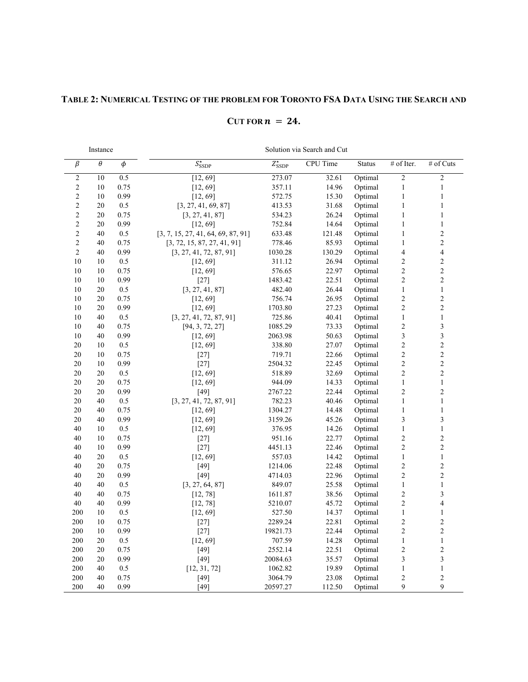# **TABLE 2: NUMERICAL TESTING OF THE PROBLEM FOR TORONTO FSA DATA USING THE SEARCH AND**

# $CUT$  FOR  $n = 24$ .

Instance Solution via Search and Cut

| $\beta$        | $\theta$ | $\phi$  | $S_{\text{SSDP}}^{\star}$          | $Z_{SSDP}^{\star}$ | <b>CPU</b> Time | <b>Status</b> | # of Iter.              | $#$ of Cuts             |
|----------------|----------|---------|------------------------------------|--------------------|-----------------|---------------|-------------------------|-------------------------|
| $\overline{c}$ | 10       | 0.5     | [12, 69]                           | 273.07             | 32.61           | Optimal       | $\overline{2}$          | $\overline{c}$          |
| $\overline{c}$ | 10       | 0.75    | [12, 69]                           | 357.11             | 14.96           | Optimal       | $\,1$                   | $\mathbf{1}$            |
| $\overline{c}$ | 10       | 0.99    | [12, 69]                           | 572.75             | 15.30           | Optimal       | $\,1$                   | $\,1$                   |
| $\overline{c}$ | 20       | 0.5     | [3, 27, 41, 69, 87]                | 413.53             | 31.68           | Optimal       | $\,1$                   | $\mathbf{1}$            |
| $\overline{c}$ | 20       | 0.75    | [3, 27, 41, 87]                    | 534.23             | 26.24           | Optimal       | $\,1$                   | $\mathbf{1}$            |
| $\overline{c}$ | 20       | 0.99    | [12, 69]                           | 752.84             | 14.64           | Optimal       | $\,1$                   | $\mathbf{1}$            |
| $\overline{c}$ | 40       | $0.5\,$ | [3, 7, 15, 27, 41, 64, 69, 87, 91] | 633.48             | 121.48          | Optimal       | $\,1$                   | $\overline{c}$          |
| $\overline{c}$ | 40       | 0.75    | [3, 72, 15, 87, 27, 41, 91]        | 778.46             | 85.93           | Optimal       | $\,1$                   | $\overline{c}$          |
| $\overline{2}$ | 40       | 0.99    | [3, 27, 41, 72, 87, 91]            | 1030.28            | 130.29          | Optimal       | $\overline{\mathbf{4}}$ | $\overline{\mathbf{4}}$ |
| 10             | 10       | $0.5\,$ | [12, 69]                           | 311.12             | 26.94           | Optimal       | $\overline{c}$          | $\overline{c}$          |
| 10             | 10       | 0.75    | [12, 69]                           | 576.65             | 22.97           | Optimal       | $\overline{c}$          | $\overline{c}$          |
| 10             | 10       | 0.99    | $[27]$                             | 1483.42            | 22.51           | Optimal       | $\overline{c}$          | $\overline{c}$          |
| 10             | 20       | 0.5     | [3, 27, 41, 87]                    | 482.40             | 26.44           | Optimal       | $\mathbf{1}$            | $\mathbf{1}$            |
| 10             | 20       | 0.75    | [12, 69]                           | 756.74             | 26.95           | Optimal       | $\sqrt{2}$              | $\overline{c}$          |
| 10             | 20       | 0.99    | [12, 69]                           | 1703.80            | 27.23           | Optimal       | $\overline{c}$          | $\overline{c}$          |
| 10             | 40       | 0.5     | [3, 27, 41, 72, 87, 91]            | 725.86             | 40.41           | Optimal       | $\mathbf{1}$            | $\mathbf{1}$            |
| 10             | 40       | 0.75    | [94, 3, 72, 27]                    | 1085.29            | 73.33           | Optimal       | $\overline{c}$          | $\overline{\mathbf{3}}$ |
| 10             | 40       | 0.99    | [12, 69]                           | 2063.98            | 50.63           | Optimal       | $\overline{\mathbf{3}}$ | $\overline{\mathbf{3}}$ |
| 20             | 10       | 0.5     | [12, 69]                           | 338.80             | 27.07           | Optimal       | $\overline{c}$          | $\overline{c}$          |
| 20             | 10       | 0.75    | $[27]$                             | 719.71             | 22.66           | Optimal       | $\overline{c}$          | $\overline{2}$          |
| 20             | 10       | 0.99    | $[27]$                             | 2504.32            | 22.45           | Optimal       | $\overline{c}$          | $\overline{c}$          |
| 20             | 20       | 0.5     | [12, 69]                           | 518.89             | 32.69           | Optimal       | $\overline{c}$          | $\overline{c}$          |
| 20             | 20       | 0.75    | [12, 69]                           | 944.09             | 14.33           | Optimal       | $\mathbf{1}$            | $\mathbf{1}$            |
| 20             | 20       | 0.99    | [49]                               | 2767.22            | 22.44           | Optimal       | $\overline{c}$          | $\overline{2}$          |
| 20             | 40       | 0.5     | [3, 27, 41, 72, 87, 91]            | 782.23             | 40.46           | Optimal       | $\,1$                   | $\mathbf{1}$            |
| 20             | 40       | 0.75    | [12, 69]                           | 1304.27            | 14.48           | Optimal       | $\mathbf{1}$            | $\mathbf{1}$            |
| 20             | 40       | 0.99    | [12, 69]                           | 3159.26            | 45.26           | Optimal       | $\overline{\mathbf{3}}$ | 3                       |
| 40             | 10       | 0.5     | [12, 69]                           | 376.95             | 14.26           | Optimal       | $\mathbf{1}$            | $\mathbf{1}$            |
| 40             | 10       | 0.75    | $[27]$                             | 951.16             | 22.77           | Optimal       | $\overline{c}$          | $\overline{c}$          |
| 40             | 10       | 0.99    | $[27]$                             | 4451.13            | 22.46           | Optimal       | $\overline{c}$          | $\overline{c}$          |
| 40             | 20       | 0.5     | [12, 69]                           | 557.03             | 14.42           | Optimal       | $\mathbf{1}$            | $\mathbf{1}$            |
| 40             | 20       | 0.75    | [49]                               | 1214.06            | 22.48           | Optimal       | $\overline{c}$          | $\overline{c}$          |
| 40             | 20       | 0.99    | $[49]$                             | 4714.03            | 22.96           | Optimal       | $\sqrt{2}$              | $\overline{c}$          |
| 40             | 40       | 0.5     | [3, 27, 64, 87]                    | 849.07             | 25.58           | Optimal       | $\mathbf{1}$            | $\mathbf{1}$            |
| 40             | 40       | 0.75    | [12, 78]                           | 1611.87            | 38.56           | Optimal       | $\overline{c}$          | 3                       |
| 40             | 40       | 0.99    | [12, 78]                           | 5210.07            | 45.72           | Optimal       | $\sqrt{2}$              | 4                       |
| 200            | 10       | 0.5     | [12, 69]                           | 527.50             | 14.37           | Optimal       | $\,1$                   | $\,1$                   |
| 200            | 10       | 0.75    | $[27]$                             | 2289.24            | 22.81           | Optimal       | $\sqrt{2}$              | $\overline{c}$          |
| 200            | 10       | 0.99    | $[27]$                             | 19821.73           | 22.44           | Optimal       | $\overline{c}$          | $\overline{c}$          |
| 200            | 20       | 0.5     | [12, 69]                           | 707.59             | 14.28           | Optimal       | $\mathbf{1}$            | $\,1$                   |
| 200            | 20       | 0.75    | [49]                               | 2552.14            | 22.51           | Optimal       | $\overline{c}$          | $\overline{c}$          |
| 200            | 20       | 0.99    | $[49]$                             | 20084.63           | 35.57           | Optimal       | $\overline{\mathbf{3}}$ | $\overline{\mathbf{3}}$ |
| 200            | 40       | 0.5     | [12, 31, 72]                       | 1062.82            | 19.89           | Optimal       | $\mathbf{1}$            | $\mathbf{1}$            |
| 200            | 40       | 0.75    | $[49]$                             | 3064.79            | 23.08           | Optimal       | $\overline{c}$          | $\overline{c}$          |
| 200            | 40       | 0.99    | $[49]$                             | 20597.27           | 112.50          | Optimal       | 9                       | 9                       |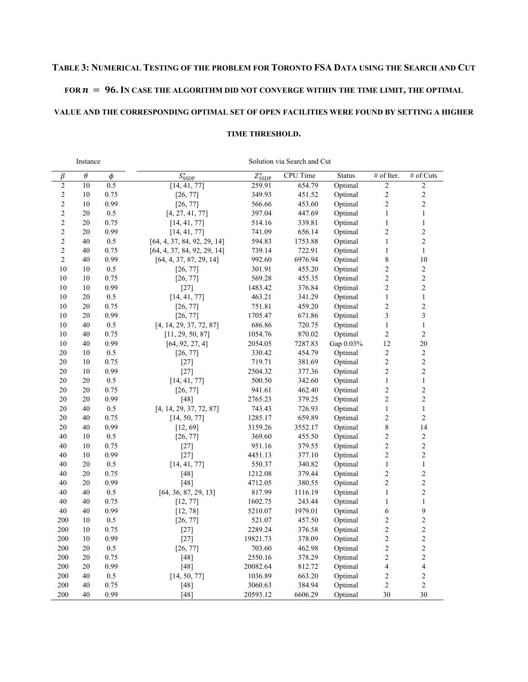# **TABLE 3: NUMERICAL TESTING OF THE PROBLEM FOR TORONTO FSA DATA USING THE SEARCH AND CUT**

#### FOR  $n = 96$ . In case the algorithm did not converge within the time limit, the optimal

# **VALUE AND THE CORRESPONDING OPTIMAL SET OF OPEN FACILITIES WERE FOUND BY SETTING A HIGHER**

#### **TIME THRESHOLD.**

| Instance       |          |        | Solution via Search and Cut |                           |                 |               |                         |                         |  |  |
|----------------|----------|--------|-----------------------------|---------------------------|-----------------|---------------|-------------------------|-------------------------|--|--|
| $\beta$        | $\theta$ | $\phi$ | $S_{\text{SSDP}}^{\star}$   | $Z_{\text{SSDP}}^{\star}$ | <b>CPU</b> Time | <b>Status</b> | # of Iter.              | # of Cuts               |  |  |
| $\sqrt{2}$     | 10       | 0.5    | [14, 41, 77]                | 259.91                    | 654.79          | Optimal       | $\overline{c}$          | $\overline{c}$          |  |  |
| $\sqrt{2}$     | 10       | 0.75   | [26, 77]                    | 349.93                    | 451.52          | Optimal       | $\overline{c}$          | $\overline{c}$          |  |  |
| $\sqrt{2}$     | 10       | 0.99   | [26, 77]                    | 566.66                    | 453.60          | Optimal       | $\overline{c}$          | $\overline{c}$          |  |  |
| $\sqrt{2}$     | 20       | 0.5    | [4, 27, 41, 77]             | 397.04                    | 447.69          | Optimal       | $\mathbf{1}$            | $\mathbf{1}$            |  |  |
| $\overline{c}$ | 20       | 0.75   | [14, 41, 77]                | 514.16                    | 339.81          | Optimal       | $\mathbf{1}$            | $\,1$                   |  |  |
| $\sqrt{2}$     | 20       | 0.99   | [14, 41, 77]                | 741.09                    | 656.14          | Optimal       | $\sqrt{2}$              | $\overline{c}$          |  |  |
| $\sqrt{2}$     | 40       | 0.5    | [64, 4, 37, 84, 92, 29, 14] | 594.83                    | 1753.88         | Optimal       | $\mathbf{1}$            | $\overline{c}$          |  |  |
| $\overline{2}$ | 40       | 0.75   | [64, 4, 37, 84, 92, 29, 14] | 739.14                    | 722.91          | Optimal       | $\,1\,$                 | $\mathbf{1}$            |  |  |
| $\overline{2}$ | 40       | 0.99   | [64, 4, 37, 87, 29, 14]     | 992.60                    | 6976.94         | Optimal       | 8                       | 10                      |  |  |
| 10             | 10       | 0.5    | [26, 77]                    | 301.91                    | 455.20          | Optimal       | $\overline{c}$          | $\overline{c}$          |  |  |
| 10             | 10       | 0.75   | [26, 77]                    | 569.28                    | 455.35          | Optimal       | $\overline{c}$          | $\overline{2}$          |  |  |
| 10             | 10       | 0.99   | $[27]$                      | 1483.42                   | 376.84          | Optimal       | $\overline{c}$          | $\overline{2}$          |  |  |
| 10             | 20       | 0.5    | [14, 41, 77]                | 463.21                    | 341.29          | Optimal       | $\,1\,$                 | $\,1$                   |  |  |
| 10             | 20       | 0.75   | [26, 77]                    | 751.81                    | 459.20          | Optimal       | $\overline{c}$          | $\overline{c}$          |  |  |
| 10             | 20       | 0.99   | [26, 77]                    | 1705.47                   | 671.86          | Optimal       | 3                       | $\overline{\mathbf{3}}$ |  |  |
| 10             | 40       | 0.5    | [4, 14, 29, 37, 72, 87]     | 686.86                    | 720.75          | Optimal       | $\,1\,$                 | $\,1$                   |  |  |
| 10             | 40       | 0.75   | [11, 29, 50, 87]            | 1054.76                   | 870.02          | Optimal       | $\overline{c}$          | $\overline{2}$          |  |  |
| 10             | 40       | 0.99   | [64, 92, 27, 4]             | 2054.05                   | 7287.83         | Gap 0.03%     | 12                      | 20                      |  |  |
| 20             | 10       | 0.5    | [26, 77]                    | 330.42                    | 454.79          | Optimal       | $\overline{c}$          | $\overline{c}$          |  |  |
| 20             | 10       | 0.75   | $[27]$                      | 719.71                    | 381.69          | Optimal       | $\overline{c}$          | $\overline{c}$          |  |  |
| 20             | 10       | 0.99   | $[27]$                      | 2504.32                   | 377.36          | Optimal       | $\overline{c}$          | $\overline{c}$          |  |  |
| 20             | 20       | 0.5    | [14, 41, 77]                | 500.50                    | 342.60          | Optimal       | $\,1$                   | $\mathbf{1}$            |  |  |
| 20             | 20       | 0.75   | [26, 77]                    | 941.61                    | 462.40          | Optimal       | $\overline{c}$          | $\overline{c}$          |  |  |
| 20             | 20       | 0.99   | [48]                        | 2765.23                   | 379.25          | Optimal       | $\overline{c}$          | $\overline{c}$          |  |  |
| 20             | 40       | 0.5    | [4, 14, 29, 37, 72, 87]     | 743.43                    | 726.93          | Optimal       | $\mathbf{1}$            | $\,1$                   |  |  |
| 20             | 40       | 0.75   | [14, 50, 77]                | 1285.17                   | 659.89          | Optimal       | $\overline{c}$          | $\overline{2}$          |  |  |
| 20             | 40       | 0.99   | [12, 69]                    | 3159.26                   | 3552.17         | Optimal       | 8                       | 14                      |  |  |
| 40             | 10       | 0.5    | [26, 77]                    | 369.60                    | 455.50          | Optimal       | $\overline{c}$          | $\overline{c}$          |  |  |
| 40             | 10       | 0.75   | $[27]$                      | 951.16                    | 379.55          | Optimal       | $\overline{c}$          | $\overline{c}$          |  |  |
| 40             | 10       | 0.99   | $[27]$                      | 4451.13                   | 377.10          | Optimal       | $\overline{c}$          | $\overline{2}$          |  |  |
| 40             | 20       | 0.5    | [14, 41, 77]                | 550.37                    | 340.82          | Optimal       | $\,1$                   | $\,1$                   |  |  |
| 40             | 20       | 0.75   | $[48]$                      | 1212.08                   | 379.44          | Optimal       | $\overline{c}$          | $\overline{c}$          |  |  |
| 40             | 20       | 0.99   | $[48]$                      | 4712.05                   | 380.55          | Optimal       | $\overline{c}$          | $\overline{c}$          |  |  |
| 40             | 40       | 0.5    | [64, 36, 87, 29, 13]        | 817.99                    | 1116.19         | Optimal       | $\mathbf{1}$            | $\overline{c}$          |  |  |
| 40             | 40       | 0.75   | [12, 77]                    | 1602.75                   | 243.44          | Optimal       | $\mathbf{1}$            | $\,1$                   |  |  |
| 40             | 40       | 0.99   | [12, 78]                    | 5210.07                   | 1979.01         | Optimal       | 6                       | 9                       |  |  |
| 200            | 10       | 0.5    | [26, 77]                    | 521.07                    | 457.50          | Optimal       | $\overline{c}$          | $\overline{c}$          |  |  |
| 200            | 10       | 0.75   | $[27]$                      | 2289.24                   | 376.58          | Optimal       | $\overline{c}$          | $\overline{c}$          |  |  |
| 200            | 10       | 0.99   | $[27]$                      | 19821.73                  | 378.09          | Optimal       | $\overline{c}$          | $\overline{c}$          |  |  |
| 200            | 20       | 0.5    | [26, 77]                    | 703.60                    | 462.98          | Optimal       | $\overline{c}$          | $\overline{c}$          |  |  |
| 200            | 20       | 0.75   | $[48]$                      | 2550.16                   | 378.29          | Optimal       | $\overline{c}$          | $\overline{c}$          |  |  |
| 200            | 20       | 0.99   | $[48]$                      | 20082.64                  | 812.72          | Optimal       | $\overline{\mathbf{4}}$ | $\overline{\mathbf{4}}$ |  |  |
| 200            | 40       | 0.5    | [14, 50, 77]                | 1036.89                   | 663.20          | Optimal       | $\overline{c}$          | $\overline{c}$          |  |  |
| 200            | 40       | 0.75   | $[48]$                      | 3060.63                   | 384.94          | Optimal       | $\overline{c}$          | $\overline{2}$          |  |  |
| 200            | 40       | 0.99   | $[48]$                      | 20593.12                  | 6606.29         | Optimal       | 30                      | 30                      |  |  |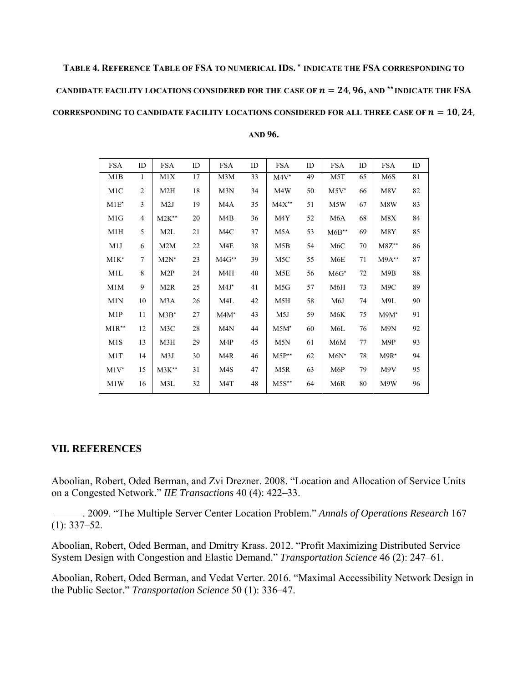# **TABLE 4. REFERENCE TABLE OF FSA TO NUMERICAL IDS.** <sup>⋆</sup> **INDICATE THE FSA CORRESPONDING TO**  CANDIDATE FACILITY LOCATIONS CONSIDERED FOR THE CASE OF  $n = 24,96,$  and  $**$  indicate the FSA **CORRESPONDING TO CANDIDATE FACILITY LOCATIONS CONSIDERED FOR ALL THREE CASE OF**  $n = 10, 24$ **,**

| AND 96. |  |
|---------|--|
|---------|--|

| <b>FSA</b>         | ID             | <b>FSA</b>         | ID     | <b>FSA</b>         | ID | <b>FSA</b>         | ID | <b>FSA</b>         | ID | <b>FSA</b>         | ID |
|--------------------|----------------|--------------------|--------|--------------------|----|--------------------|----|--------------------|----|--------------------|----|
| M1B                | 1              | M1X                | 17     | M3M                | 33 | $M4V^{\star}$      | 49 | M <sub>5</sub> T   | 65 | M6S                | 81 |
| M1C                | $\overline{2}$ | M2H                | 18     | M3N                | 34 | M4W                | 50 | $M5V^*$            | 66 | M8V                | 82 |
| $M1E^*$            | 3              | M2J                | 19     | M4A                | 35 | $M4X^{\star\star}$ | 51 | M5W                | 67 | M8W                | 83 |
| M1G                | $\overline{4}$ | $M2K^{\star\star}$ | 20     | M4B                | 36 | M4Y                | 52 | M6A                | 68 | M8X                | 84 |
| M1H                | 5              | M2L                | 21     | M4C                | 37 | M5A                | 53 | $M6B^{\star\star}$ | 69 | M8Y                | 85 |
| M1J                | 6              | M2M                | $22\,$ | M4E                | 38 | M5B                | 54 | M <sub>6</sub> C   | 70 | $M8Z^{\star\star}$ | 86 |
| $M1K*$             | $\overline{7}$ | $M2N^*$            | 23     | $M4G^{\star\star}$ | 39 | M <sub>5</sub> C   | 55 | M6E                | 71 | $M9A**$            | 87 |
| M1L                | 8              | M <sub>2</sub> P   | 24     | M4H                | 40 | M5E                | 56 | $M6G*$             | 72 | M9B                | 88 |
| M1M                | 9              | M2R                | 25     | $M4J^*$            | 41 | M5G                | 57 | M6H                | 73 | M9C                | 89 |
| M1N                | 10             | M3A                | 26     | M4L                | 42 | M5H                | 58 | M6J                | 74 | M9L                | 90 |
| M1P                | 11             | $M3B^{\star}$      | 27     | $M4M^*$            | 43 | M5J                | 59 | M6K                | 75 | $M9M^*$            | 91 |
| $M1R^{\star\star}$ | 12             | M3C                | 28     | M <sub>4</sub> N   | 44 | $M5M^*$            | 60 | M6L                | 76 | M9N                | 92 |
| M <sub>1</sub> S   | 13             | M3H                | 29     | M4P                | 45 | M5N                | 61 | M6M                | 77 | M9P                | 93 |
| M1T                | 14             | M3J                | 30     | M4R                | 46 | $M5P^{\star\star}$ | 62 | $M6N^*$            | 78 | $M9R*$             | 94 |
| $M1V^{\star}$      | 15             | $M3K^{\star\star}$ | 31     | M4S                | 47 | M5R                | 63 | M6P                | 79 | M9V                | 95 |
| M1W                | 16             | M3L                | 32     | M4T                | 48 | $M5S^{\star\star}$ | 64 | M6R                | 80 | M9W                | 96 |

# **VII. REFERENCES**

Aboolian, Robert, Oded Berman, and Zvi Drezner. 2008. "Location and Allocation of Service Units on a Congested Network." *IIE Transactions* 40 (4): 422–33.

———. 2009. "The Multiple Server Center Location Problem." *Annals of Operations Research* 167  $(1): 337 - 52.$ 

Aboolian, Robert, Oded Berman, and Dmitry Krass. 2012. "Profit Maximizing Distributed Service System Design with Congestion and Elastic Demand." *Transportation Science* 46 (2): 247–61.

Aboolian, Robert, Oded Berman, and Vedat Verter. 2016. "Maximal Accessibility Network Design in the Public Sector." *Transportation Science* 50 (1): 336–47.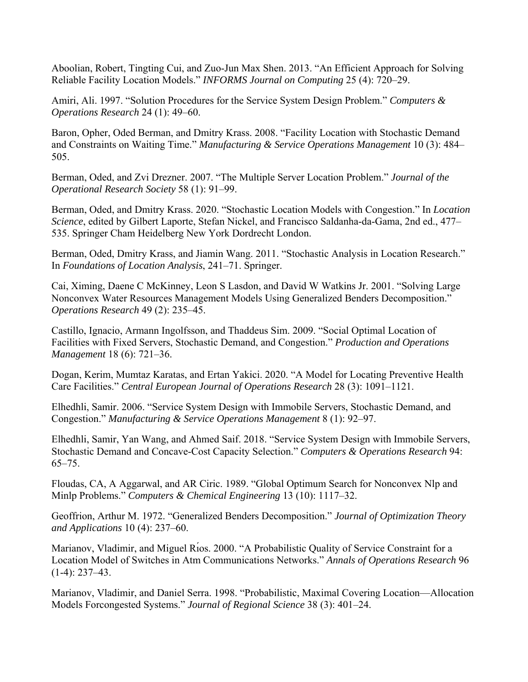Aboolian, Robert, Tingting Cui, and Zuo-Jun Max Shen. 2013. "An Efficient Approach for Solving Reliable Facility Location Models." *INFORMS Journal on Computing* 25 (4): 720–29.

Amiri, Ali. 1997. "Solution Procedures for the Service System Design Problem." *Computers & Operations Research* 24 (1): 49–60.

Baron, Opher, Oded Berman, and Dmitry Krass. 2008. "Facility Location with Stochastic Demand and Constraints on Waiting Time." *Manufacturing & Service Operations Management* 10 (3): 484– 505.

Berman, Oded, and Zvi Drezner. 2007. "The Multiple Server Location Problem." *Journal of the Operational Research Society* 58 (1): 91–99.

Berman, Oded, and Dmitry Krass. 2020. "Stochastic Location Models with Congestion." In *Location Science*, edited by Gilbert Laporte, Stefan Nickel, and Francisco Saldanha-da-Gama, 2nd ed., 477– 535. Springer Cham Heidelberg New York Dordrecht London.

Berman, Oded, Dmitry Krass, and Jiamin Wang. 2011. "Stochastic Analysis in Location Research." In *Foundations of Location Analysis*, 241–71. Springer.

Cai, Ximing, Daene C McKinney, Leon S Lasdon, and David W Watkins Jr. 2001. "Solving Large Nonconvex Water Resources Management Models Using Generalized Benders Decomposition." *Operations Research* 49 (2): 235–45.

Castillo, Ignacio, Armann Ingolfsson, and Thaddeus Sim. 2009. "Social Optimal Location of Facilities with Fixed Servers, Stochastic Demand, and Congestion." *Production and Operations Management* 18 (6): 721–36.

Dogan, Kerim, Mumtaz Karatas, and Ertan Yakici. 2020. "A Model for Locating Preventive Health Care Facilities." *Central European Journal of Operations Research* 28 (3): 1091–1121.

Elhedhli, Samir. 2006. "Service System Design with Immobile Servers, Stochastic Demand, and Congestion." *Manufacturing & Service Operations Management* 8 (1): 92–97.

Elhedhli, Samir, Yan Wang, and Ahmed Saif. 2018. "Service System Design with Immobile Servers, Stochastic Demand and Concave-Cost Capacity Selection." *Computers & Operations Research* 94: 65–75.

Floudas, CA, A Aggarwal, and AR Ciric. 1989. "Global Optimum Search for Nonconvex Nlp and Minlp Problems." *Computers & Chemical Engineering* 13 (10): 1117–32.

Geoffrion, Arthur M. 1972. "Generalized Benders Decomposition." *Journal of Optimization Theory and Applications* 10 (4): 237–60.

Marianov, Vladimir, and Miguel Rı́os. 2000. "A Probabilistic Quality of Service Constraint for a Location Model of Switches in Atm Communications Networks." *Annals of Operations Research* 96 (1-4): 237–43.

Marianov, Vladimir, and Daniel Serra. 1998. "Probabilistic, Maximal Covering Location—Allocation Models Forcongested Systems." *Journal of Regional Science* 38 (3): 401–24.